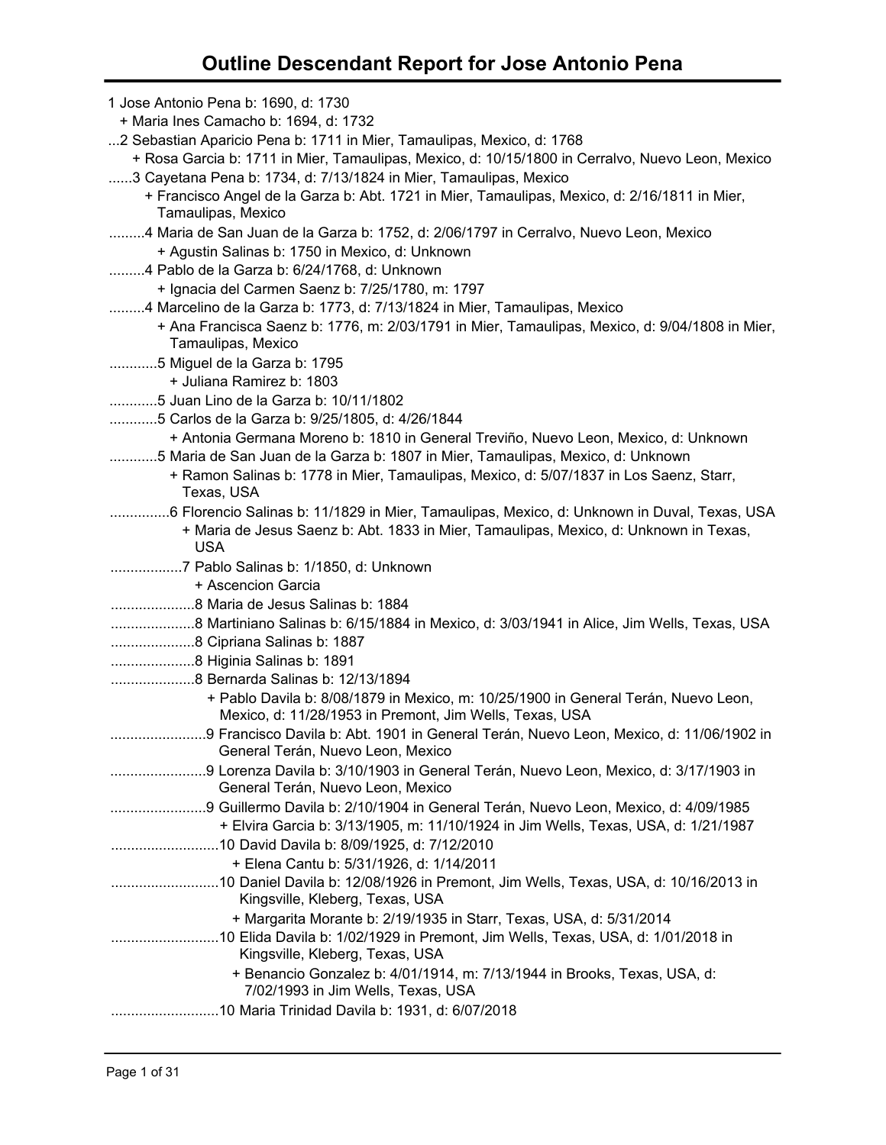| 1 Jose Antonio Pena b: 1690, d: 1730                                                                                                          |
|-----------------------------------------------------------------------------------------------------------------------------------------------|
| + Maria Ines Camacho b: 1694, d: 1732                                                                                                         |
| 2 Sebastian Aparicio Pena b: 1711 in Mier, Tamaulipas, Mexico, d: 1768                                                                        |
| + Rosa Garcia b: 1711 in Mier, Tamaulipas, Mexico, d: 10/15/1800 in Cerralvo, Nuevo Leon, Mexico                                              |
| 3 Cayetana Pena b: 1734, d: 7/13/1824 in Mier, Tamaulipas, Mexico                                                                             |
| + Francisco Angel de la Garza b: Abt. 1721 in Mier, Tamaulipas, Mexico, d: 2/16/1811 in Mier,<br>Tamaulipas, Mexico                           |
| 4 Maria de San Juan de la Garza b: 1752, d: 2/06/1797 in Cerralvo, Nuevo Leon, Mexico                                                         |
| + Agustin Salinas b: 1750 in Mexico, d: Unknown                                                                                               |
| 4 Pablo de la Garza b: 6/24/1768, d: Unknown                                                                                                  |
| + Ignacia del Carmen Saenz b: 7/25/1780, m: 1797                                                                                              |
| 4 Marcelino de la Garza b: 1773, d: 7/13/1824 in Mier, Tamaulipas, Mexico                                                                     |
| + Ana Francisca Saenz b: 1776, m: 2/03/1791 in Mier, Tamaulipas, Mexico, d: 9/04/1808 in Mier,                                                |
| Tamaulipas, Mexico                                                                                                                            |
| 5 Miguel de la Garza b: 1795                                                                                                                  |
| + Juliana Ramirez b: 1803                                                                                                                     |
| 5 Juan Lino de la Garza b: 10/11/1802                                                                                                         |
| 5 Carlos de la Garza b: 9/25/1805, d: 4/26/1844                                                                                               |
| + Antonia Germana Moreno b: 1810 in General Treviño, Nuevo Leon, Mexico, d: Unknown                                                           |
| 5 Maria de San Juan de la Garza b: 1807 in Mier, Tamaulipas, Mexico, d: Unknown                                                               |
| + Ramon Salinas b: 1778 in Mier, Tamaulipas, Mexico, d: 5/07/1837 in Los Saenz, Starr,                                                        |
| Texas, USA                                                                                                                                    |
| 6 Florencio Salinas b: 11/1829 in Mier, Tamaulipas, Mexico, d: Unknown in Duval, Texas, USA                                                   |
| + Maria de Jesus Saenz b: Abt. 1833 in Mier, Tamaulipas, Mexico, d: Unknown in Texas,                                                         |
| <b>USA</b>                                                                                                                                    |
|                                                                                                                                               |
| + Ascencion Garcia                                                                                                                            |
|                                                                                                                                               |
| 8 Martiniano Salinas b: 6/15/1884 in Mexico, d: 3/03/1941 in Alice, Jim Wells, Texas, USA                                                     |
| 8 Cipriana Salinas b: 1887                                                                                                                    |
|                                                                                                                                               |
|                                                                                                                                               |
| + Pablo Davila b: 8/08/1879 in Mexico, m: 10/25/1900 in General Terán, Nuevo Leon,<br>Mexico, d: 11/28/1953 in Premont, Jim Wells, Texas, USA |
| General Terán, Nuevo Leon, Mexico                                                                                                             |
| General Terán, Nuevo Leon, Mexico                                                                                                             |
| 9 Guillermo Davila b: 2/10/1904 in General Terán, Nuevo Leon, Mexico, d: 4/09/1985                                                            |
| + Elvira Garcia b: 3/13/1905, m: 11/10/1924 in Jim Wells, Texas, USA, d: 1/21/1987                                                            |
|                                                                                                                                               |
| + Elena Cantu b: 5/31/1926, d: 1/14/2011                                                                                                      |
| 10 Daniel Davila b: 12/08/1926 in Premont, Jim Wells, Texas, USA, d: 10/16/2013 in<br>Kingsville, Kleberg, Texas, USA                         |
| + Margarita Morante b: 2/19/1935 in Starr, Texas, USA, d: 5/31/2014                                                                           |
| Kingsville, Kleberg, Texas, USA                                                                                                               |
| + Benancio Gonzalez b: 4/01/1914, m: 7/13/1944 in Brooks, Texas, USA, d:<br>7/02/1993 in Jim Wells, Texas, USA                                |
| 10 Maria Trinidad Davila b: 1931, d: 6/07/2018                                                                                                |
|                                                                                                                                               |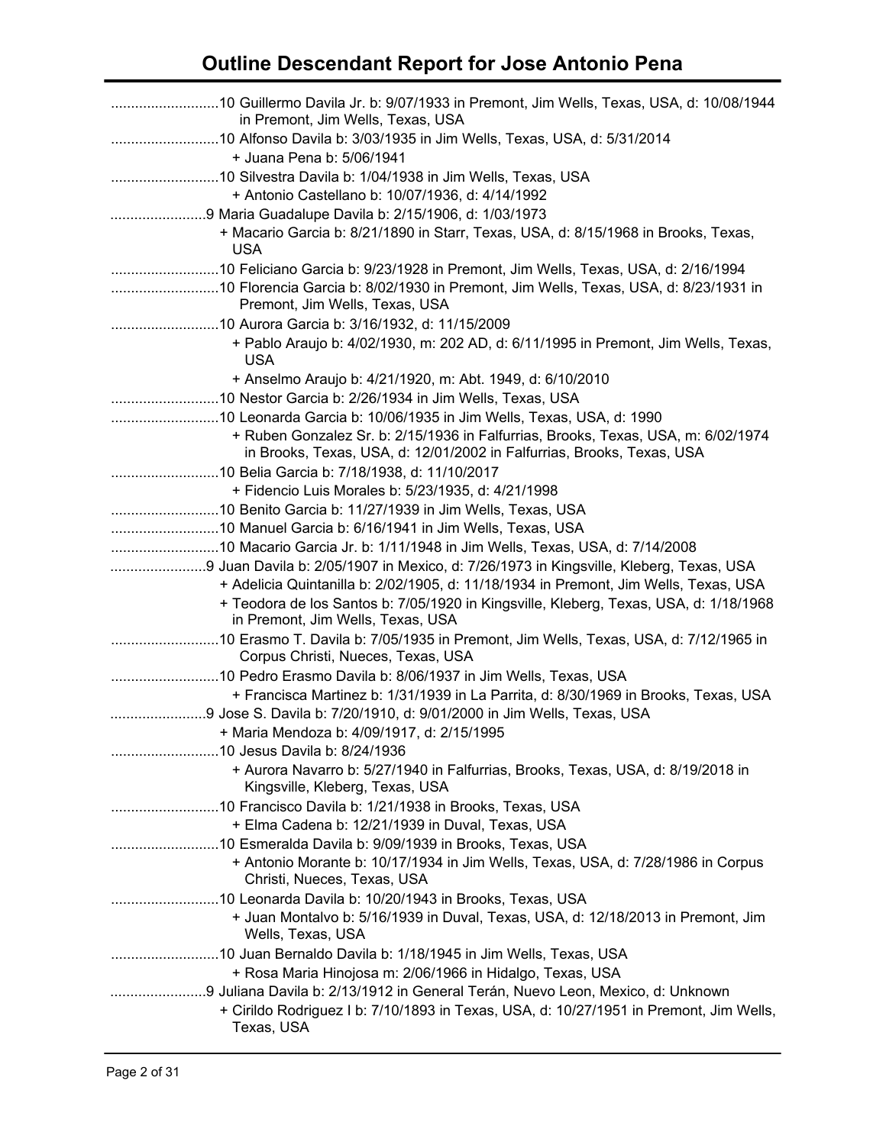| in Premont, Jim Wells, Texas, USA                                                                                                                                                                                  |
|--------------------------------------------------------------------------------------------------------------------------------------------------------------------------------------------------------------------|
| 10 Alfonso Davila b: 3/03/1935 in Jim Wells, Texas, USA, d: 5/31/2014<br>+ Juana Pena b: 5/06/1941                                                                                                                 |
| + Antonio Castellano b: 10/07/1936, d: 4/14/1992                                                                                                                                                                   |
| + Macario Garcia b: 8/21/1890 in Starr, Texas, USA, d: 8/15/1968 in Brooks, Texas,<br><b>USA</b>                                                                                                                   |
| 10 Florencia Garcia b: 8/02/1930 in Premont, Jim Wells, Texas, USA, d: 8/23/1931 in<br>Premont, Jim Wells, Texas, USA                                                                                              |
| + Pablo Araujo b: 4/02/1930, m: 202 AD, d: 6/11/1995 in Premont, Jim Wells, Texas,<br><b>USA</b>                                                                                                                   |
| + Anselmo Araujo b: 4/21/1920, m: Abt. 1949, d: 6/10/2010                                                                                                                                                          |
|                                                                                                                                                                                                                    |
| 10 Leonarda Garcia b: 10/06/1935 in Jim Wells, Texas, USA, d: 1990                                                                                                                                                 |
| + Ruben Gonzalez Sr. b: 2/15/1936 in Falfurrias, Brooks, Texas, USA, m: 6/02/1974<br>in Brooks, Texas, USA, d: 12/01/2002 in Falfurrias, Brooks, Texas, USA                                                        |
| 10 Belia Garcia b: 7/18/1938, d: 11/10/2017                                                                                                                                                                        |
| + Fidencio Luis Morales b: 5/23/1935, d: 4/21/1998                                                                                                                                                                 |
| 10 Benito Garcia b: 11/27/1939 in Jim Wells, Texas, USA                                                                                                                                                            |
|                                                                                                                                                                                                                    |
| 9 Juan Davila b: 2/05/1907 in Mexico, d: 7/26/1973 in Kingsville, Kleberg, Texas, USA                                                                                                                              |
| + Adelicia Quintanilla b: 2/02/1905, d: 11/18/1934 in Premont, Jim Wells, Texas, USA<br>+ Teodora de los Santos b: 7/05/1920 in Kingsville, Kleberg, Texas, USA, d: 1/18/1968<br>in Premont, Jim Wells, Texas, USA |
| 10 Erasmo T. Davila b: 7/05/1935 in Premont, Jim Wells, Texas, USA, d: 7/12/1965 in<br>Corpus Christi, Nueces, Texas, USA                                                                                          |
|                                                                                                                                                                                                                    |
| + Francisca Martinez b: 1/31/1939 in La Parrita, d: 8/30/1969 in Brooks, Texas, USA<br>9 Jose S. Davila b: 7/20/1910, d: 9/01/2000 in Jim Wells, Texas, USA                                                        |
| + Maria Mendoza b: 4/09/1917, d: 2/15/1995                                                                                                                                                                         |
|                                                                                                                                                                                                                    |
| + Aurora Navarro b: 5/27/1940 in Falfurrias, Brooks, Texas, USA, d: 8/19/2018 in<br>Kingsville, Kleberg, Texas, USA                                                                                                |
|                                                                                                                                                                                                                    |
| + Elma Cadena b: 12/21/1939 in Duval, Texas, USA                                                                                                                                                                   |
| + Antonio Morante b: 10/17/1934 in Jim Wells, Texas, USA, d: 7/28/1986 in Corpus<br>Christi, Nueces, Texas, USA                                                                                                    |
| 10 Leonarda Davila b: 10/20/1943 in Brooks, Texas, USA                                                                                                                                                             |
| + Juan Montalvo b: 5/16/1939 in Duval, Texas, USA, d: 12/18/2013 in Premont, Jim<br>Wells, Texas, USA                                                                                                              |
|                                                                                                                                                                                                                    |
| + Rosa Maria Hinojosa m: 2/06/1966 in Hidalgo, Texas, USA                                                                                                                                                          |
| 9 Juliana Davila b: 2/13/1912 in General Terán, Nuevo Leon, Mexico, d: Unknown<br>+ Cirildo Rodriguez I b: 7/10/1893 in Texas, USA, d: 10/27/1951 in Premont, Jim Wells,                                           |
| Texas, USA                                                                                                                                                                                                         |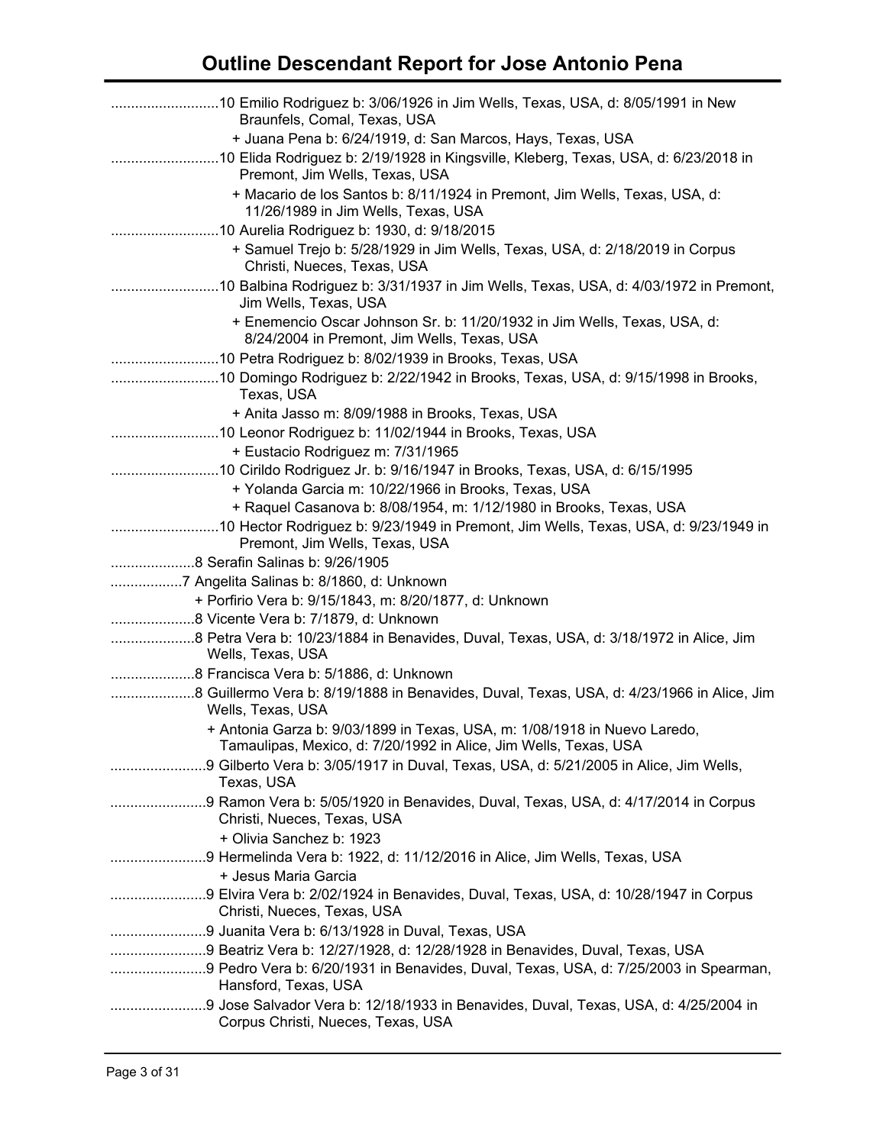| 10 Emilio Rodriguez b: 3/06/1926 in Jim Wells, Texas, USA, d: 8/05/1991 in New<br>Braunfels, Comal, Texas, USA                                |
|-----------------------------------------------------------------------------------------------------------------------------------------------|
| + Juana Pena b: 6/24/1919, d: San Marcos, Hays, Texas, USA                                                                                    |
| 10 Elida Rodriguez b: 2/19/1928 in Kingsville, Kleberg, Texas, USA, d: 6/23/2018 in<br>Premont, Jim Wells, Texas, USA                         |
| + Macario de los Santos b: 8/11/1924 in Premont, Jim Wells, Texas, USA, d:<br>11/26/1989 in Jim Wells, Texas, USA                             |
|                                                                                                                                               |
| + Samuel Trejo b: 5/28/1929 in Jim Wells, Texas, USA, d: 2/18/2019 in Corpus<br>Christi, Nueces, Texas, USA                                   |
| Jim Wells, Texas, USA                                                                                                                         |
| + Enemencio Oscar Johnson Sr. b: 11/20/1932 in Jim Wells, Texas, USA, d:<br>8/24/2004 in Premont, Jim Wells, Texas, USA                       |
|                                                                                                                                               |
| 10 Domingo Rodriguez b: 2/22/1942 in Brooks, Texas, USA, d: 9/15/1998 in Brooks,<br>Texas, USA                                                |
| + Anita Jasso m: 8/09/1988 in Brooks, Texas, USA                                                                                              |
|                                                                                                                                               |
| + Eustacio Rodriguez m: 7/31/1965                                                                                                             |
| 10 Cirildo Rodriguez Jr. b: 9/16/1947 in Brooks, Texas, USA, d: 6/15/1995                                                                     |
| + Yolanda Garcia m: 10/22/1966 in Brooks, Texas, USA<br>+ Raquel Casanova b: 8/08/1954, m: 1/12/1980 in Brooks, Texas, USA                    |
|                                                                                                                                               |
| Premont, Jim Wells, Texas, USA                                                                                                                |
|                                                                                                                                               |
| 7 Angelita Salinas b: 8/1860, d: Unknown<br>+ Porfirio Vera b: 9/15/1843, m: 8/20/1877, d: Unknown                                            |
|                                                                                                                                               |
| 8 Petra Vera b: 10/23/1884 in Benavides, Duval, Texas, USA, d: 3/18/1972 in Alice, Jim                                                        |
| Wells, Texas, USA<br>8 Francisca Vera b: 5/1886, d: Unknown                                                                                   |
| 8 Guillermo Vera b: 8/19/1888 in Benavides, Duval, Texas, USA, d: 4/23/1966 in Alice, Jim                                                     |
| Wells, Texas, USA                                                                                                                             |
| + Antonia Garza b: 9/03/1899 in Texas, USA, m: 1/08/1918 in Nuevo Laredo,<br>Tamaulipas, Mexico, d: 7/20/1992 in Alice, Jim Wells, Texas, USA |
| 9 Gilberto Vera b: 3/05/1917 in Duval, Texas, USA, d: 5/21/2005 in Alice, Jim Wells,<br>Texas, USA                                            |
| Christi, Nueces, Texas, USA                                                                                                                   |
| + Olivia Sanchez b: 1923                                                                                                                      |
| 9 Hermelinda Vera b: 1922, d: 11/12/2016 in Alice, Jim Wells, Texas, USA                                                                      |
| + Jesus Maria Garcia                                                                                                                          |
| Christi, Nueces, Texas, USA                                                                                                                   |
| 9 Juanita Vera b: 6/13/1928 in Duval, Texas, USA                                                                                              |
| 9 Beatriz Vera b: 12/27/1928, d: 12/28/1928 in Benavides, Duval, Texas, USA                                                                   |
| 9 Pedro Vera b: 6/20/1931 in Benavides, Duval, Texas, USA, d: 7/25/2003 in Spearman,<br>Hansford, Texas, USA                                  |
| 9 Jose Salvador Vera b: 12/18/1933 in Benavides, Duval, Texas, USA, d: 4/25/2004 in<br>Corpus Christi, Nueces, Texas, USA                     |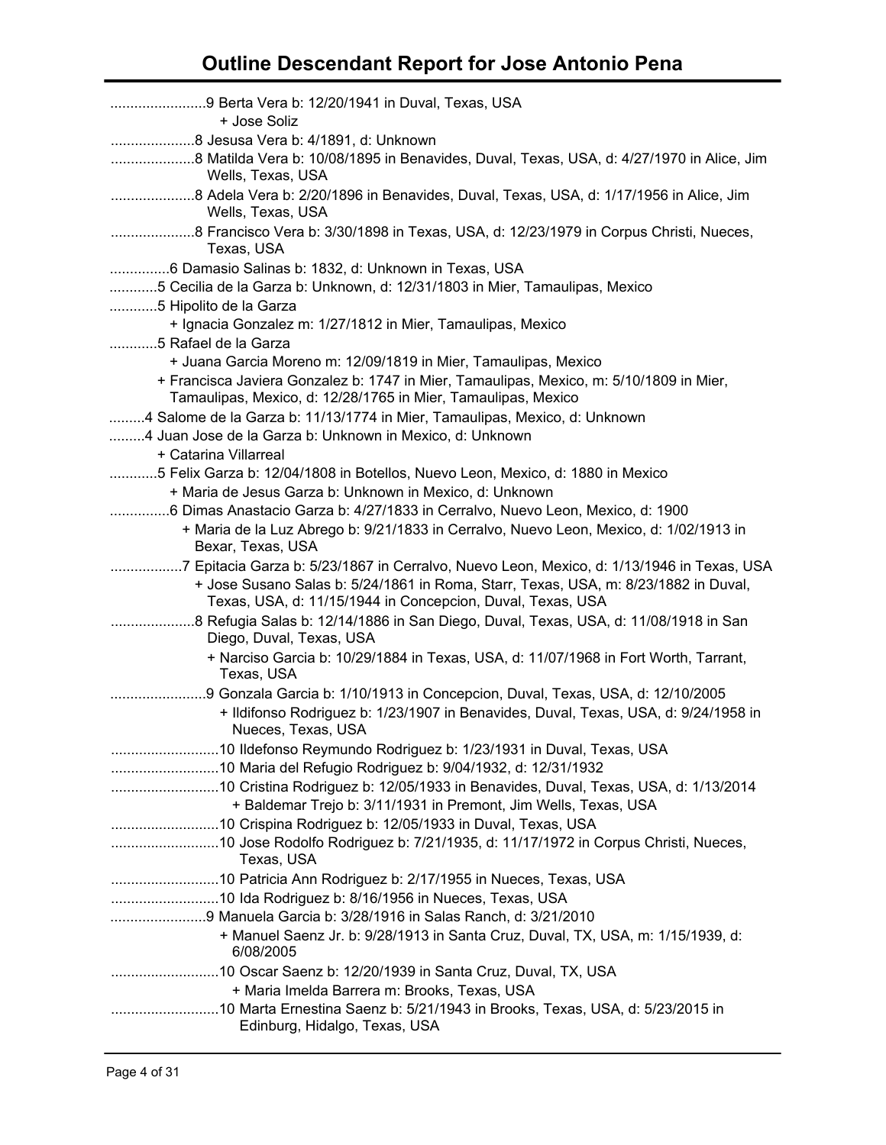| + Jose Soliz                                                                                                                                                                                                                                   |
|------------------------------------------------------------------------------------------------------------------------------------------------------------------------------------------------------------------------------------------------|
|                                                                                                                                                                                                                                                |
| Wells, Texas, USA                                                                                                                                                                                                                              |
| Wells, Texas, USA                                                                                                                                                                                                                              |
| 8 Francisco Vera b: 3/30/1898 in Texas, USA, d: 12/23/1979 in Corpus Christi, Nueces,<br>Texas, USA                                                                                                                                            |
| 6 Damasio Salinas b: 1832, d: Unknown in Texas, USA                                                                                                                                                                                            |
| 5 Cecilia de la Garza b: Unknown, d: 12/31/1803 in Mier, Tamaulipas, Mexico                                                                                                                                                                    |
| 5 Hipolito de la Garza                                                                                                                                                                                                                         |
| + Ignacia Gonzalez m: 1/27/1812 in Mier, Tamaulipas, Mexico                                                                                                                                                                                    |
| 5 Rafael de la Garza                                                                                                                                                                                                                           |
| + Juana Garcia Moreno m: 12/09/1819 in Mier, Tamaulipas, Mexico                                                                                                                                                                                |
| + Francisca Javiera Gonzalez b: 1747 in Mier, Tamaulipas, Mexico, m: 5/10/1809 in Mier,<br>Tamaulipas, Mexico, d: 12/28/1765 in Mier, Tamaulipas, Mexico                                                                                       |
| 4 Salome de la Garza b: 11/13/1774 in Mier, Tamaulipas, Mexico, d: Unknown                                                                                                                                                                     |
| 4 Juan Jose de la Garza b: Unknown in Mexico, d: Unknown                                                                                                                                                                                       |
| + Catarina Villarreal                                                                                                                                                                                                                          |
| 5 Felix Garza b: 12/04/1808 in Botellos, Nuevo Leon, Mexico, d: 1880 in Mexico                                                                                                                                                                 |
| + Maria de Jesus Garza b: Unknown in Mexico, d: Unknown                                                                                                                                                                                        |
| 6 Dimas Anastacio Garza b: 4/27/1833 in Cerralvo, Nuevo Leon, Mexico, d: 1900                                                                                                                                                                  |
| + Maria de la Luz Abrego b: 9/21/1833 in Cerralvo, Nuevo Leon, Mexico, d: 1/02/1913 in<br>Bexar, Texas, USA                                                                                                                                    |
| 7 Epitacia Garza b: 5/23/1867 in Cerralvo, Nuevo Leon, Mexico, d: 1/13/1946 in Texas, USA<br>+ Jose Susano Salas b: 5/24/1861 in Roma, Starr, Texas, USA, m: 8/23/1882 in Duval,<br>Texas, USA, d: 11/15/1944 in Concepcion, Duval, Texas, USA |
| 8 Refugia Salas b: 12/14/1886 in San Diego, Duval, Texas, USA, d: 11/08/1918 in San<br>Diego, Duval, Texas, USA                                                                                                                                |
| + Narciso Garcia b: 10/29/1884 in Texas, USA, d: 11/07/1968 in Fort Worth, Tarrant,<br>Texas, USA                                                                                                                                              |
| 9 Gonzala Garcia b: 1/10/1913 in Concepcion, Duval, Texas, USA, d: 12/10/2005                                                                                                                                                                  |
| + Ildifonso Rodriguez b: 1/23/1907 in Benavides, Duval, Texas, USA, d: 9/24/1958 in<br>Nueces, Texas, USA                                                                                                                                      |
|                                                                                                                                                                                                                                                |
|                                                                                                                                                                                                                                                |
|                                                                                                                                                                                                                                                |
| + Baldemar Trejo b: 3/11/1931 in Premont, Jim Wells, Texas, USA                                                                                                                                                                                |
| 10 Crispina Rodriguez b: 12/05/1933 in Duval, Texas, USA                                                                                                                                                                                       |
| Texas, USA                                                                                                                                                                                                                                     |
|                                                                                                                                                                                                                                                |
|                                                                                                                                                                                                                                                |
| 9 Manuela Garcia b: 3/28/1916 in Salas Ranch, d: 3/21/2010                                                                                                                                                                                     |
| + Manuel Saenz Jr. b: 9/28/1913 in Santa Cruz, Duval, TX, USA, m: 1/15/1939, d:<br>6/08/2005                                                                                                                                                   |
| 10 Oscar Saenz b: 12/20/1939 in Santa Cruz, Duval, TX, USA                                                                                                                                                                                     |
| + Maria Imelda Barrera m: Brooks, Texas, USA                                                                                                                                                                                                   |
| Edinburg, Hidalgo, Texas, USA                                                                                                                                                                                                                  |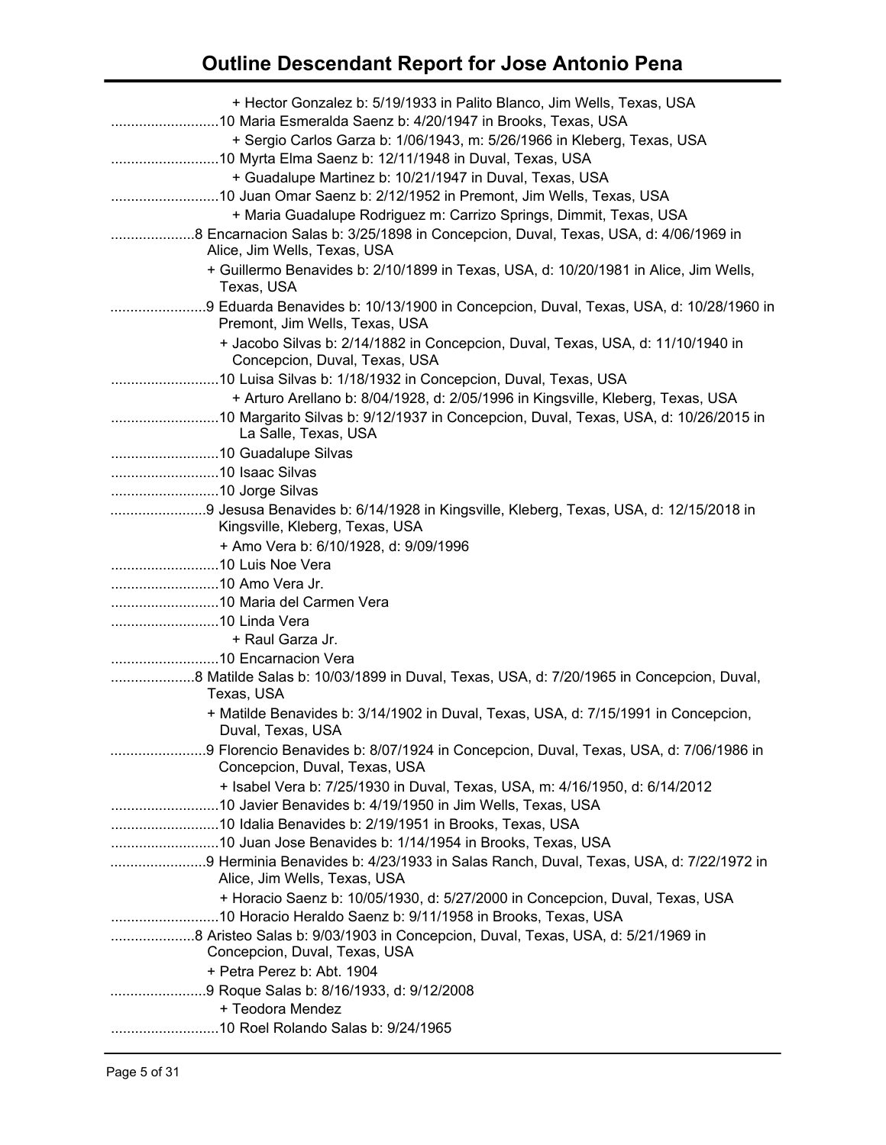| + Hector Gonzalez b: 5/19/1933 in Palito Blanco, Jim Wells, Texas, USA                                                            |
|-----------------------------------------------------------------------------------------------------------------------------------|
| + Sergio Carlos Garza b: 1/06/1943, m: 5/26/1966 in Kleberg, Texas, USA<br>10 Myrta Elma Saenz b: 12/11/1948 in Duval, Texas, USA |
| + Guadalupe Martinez b: 10/21/1947 in Duval, Texas, USA                                                                           |
| 10 Juan Omar Saenz b: 2/12/1952 in Premont, Jim Wells, Texas, USA                                                                 |
| + Maria Guadalupe Rodriguez m: Carrizo Springs, Dimmit, Texas, USA                                                                |
|                                                                                                                                   |
| Alice, Jim Wells, Texas, USA                                                                                                      |
| + Guillermo Benavides b: 2/10/1899 in Texas, USA, d: 10/20/1981 in Alice, Jim Wells,<br>Texas, USA                                |
| 9 Eduarda Benavides b: 10/13/1900 in Concepcion, Duval, Texas, USA, d: 10/28/1960 in<br>Premont, Jim Wells, Texas, USA            |
| + Jacobo Silvas b: 2/14/1882 in Concepcion, Duval, Texas, USA, d: 11/10/1940 in<br>Concepcion, Duval, Texas, USA                  |
|                                                                                                                                   |
| + Arturo Arellano b: 8/04/1928, d: 2/05/1996 in Kingsville, Kleberg, Texas, USA                                                   |
| La Salle, Texas, USA                                                                                                              |
|                                                                                                                                   |
|                                                                                                                                   |
|                                                                                                                                   |
| 9 Jesusa Benavides b: 6/14/1928 in Kingsville, Kleberg, Texas, USA, d: 12/15/2018 in<br>Kingsville, Kleberg, Texas, USA           |
| + Amo Vera b: 6/10/1928, d: 9/09/1996                                                                                             |
| 10 Luis Noe Vera                                                                                                                  |
|                                                                                                                                   |
|                                                                                                                                   |
|                                                                                                                                   |
| + Raul Garza Jr.                                                                                                                  |
| 8 Matilde Salas b: 10/03/1899 in Duval, Texas, USA, d: 7/20/1965 in Concepcion, Duval,                                            |
| Texas, USA                                                                                                                        |
| + Matilde Benavides b: 3/14/1902 in Duval, Texas, USA, d: 7/15/1991 in Concepcion,<br>Duval, Texas, USA                           |
| 9 Florencio Benavides b: 8/07/1924 in Concepcion, Duval, Texas, USA, d: 7/06/1986 in<br>Concepcion, Duval, Texas, USA             |
| + Isabel Vera b: 7/25/1930 in Duval, Texas, USA, m: 4/16/1950, d: 6/14/2012                                                       |
|                                                                                                                                   |
|                                                                                                                                   |
|                                                                                                                                   |
| 9 Herminia Benavides b: 4/23/1933 in Salas Ranch, Duval, Texas, USA, d: 7/22/1972 in<br>Alice, Jim Wells, Texas, USA              |
| + Horacio Saenz b: 10/05/1930, d: 5/27/2000 in Concepcion, Duval, Texas, USA                                                      |
|                                                                                                                                   |
| Concepcion, Duval, Texas, USA                                                                                                     |
| + Petra Perez b: Abt. 1904                                                                                                        |
|                                                                                                                                   |
| + Teodora Mendez                                                                                                                  |
|                                                                                                                                   |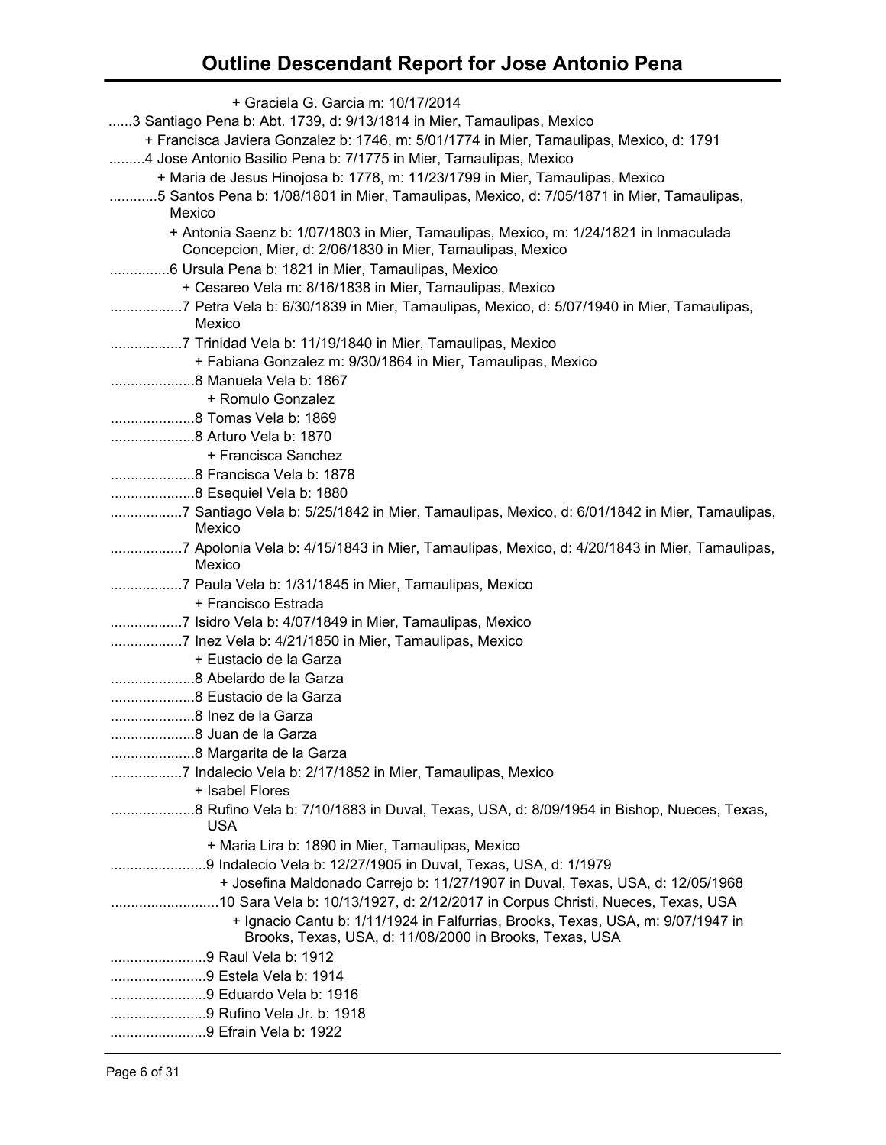| + Graciela G. Garcia m: 10/17/2014                                                                                                         |
|--------------------------------------------------------------------------------------------------------------------------------------------|
| 3 Santiago Pena b: Abt. 1739, d: 9/13/1814 in Mier, Tamaulipas, Mexico                                                                     |
| + Francisca Javiera Gonzalez b: 1746, m: 5/01/1774 in Mier, Tamaulipas, Mexico, d: 1791                                                    |
| 4 Jose Antonio Basilio Pena b: 7/1775 in Mier, Tamaulipas, Mexico                                                                          |
| + Maria de Jesus Hinojosa b: 1778, m: 11/23/1799 in Mier, Tamaulipas, Mexico                                                               |
| 5 Santos Pena b: 1/08/1801 in Mier, Tamaulipas, Mexico, d: 7/05/1871 in Mier, Tamaulipas,                                                  |
| Mexico                                                                                                                                     |
| + Antonia Saenz b: 1/07/1803 in Mier, Tamaulipas, Mexico, m: 1/24/1821 in Inmaculada                                                       |
| Concepcion, Mier, d: 2/06/1830 in Mier, Tamaulipas, Mexico                                                                                 |
| 6 Ursula Pena b: 1821 in Mier, Tamaulipas, Mexico                                                                                          |
| + Cesareo Vela m: 8/16/1838 in Mier, Tamaulipas, Mexico                                                                                    |
| Mexico                                                                                                                                     |
| 7 Trinidad Vela b: 11/19/1840 in Mier, Tamaulipas, Mexico                                                                                  |
| + Fabiana Gonzalez m: 9/30/1864 in Mier, Tamaulipas, Mexico                                                                                |
|                                                                                                                                            |
| + Romulo Gonzalez                                                                                                                          |
|                                                                                                                                            |
|                                                                                                                                            |
| + Francisca Sanchez                                                                                                                        |
|                                                                                                                                            |
|                                                                                                                                            |
| 7 Santiago Vela b: 5/25/1842 in Mier, Tamaulipas, Mexico, d: 6/01/1842 in Mier, Tamaulipas,                                                |
| Mexico                                                                                                                                     |
| 7 Apolonia Vela b: 4/15/1843 in Mier, Tamaulipas, Mexico, d: 4/20/1843 in Mier, Tamaulipas,<br>Mexico                                      |
|                                                                                                                                            |
| + Francisco Estrada                                                                                                                        |
|                                                                                                                                            |
| 7 Inez Vela b: 4/21/1850 in Mier, Tamaulipas, Mexico                                                                                       |
| + Eustacio de la Garza                                                                                                                     |
|                                                                                                                                            |
|                                                                                                                                            |
|                                                                                                                                            |
|                                                                                                                                            |
|                                                                                                                                            |
|                                                                                                                                            |
| + Isabel Flores                                                                                                                            |
| 8 Rufino Vela b: 7/10/1883 in Duval, Texas, USA, d: 8/09/1954 in Bishop, Nueces, Texas,<br><b>USA</b>                                      |
| + Maria Lira b: 1890 in Mier, Tamaulipas, Mexico                                                                                           |
| 9 Indalecio Vela b: 12/27/1905 in Duval, Texas, USA, d: 1/1979                                                                             |
| + Josefina Maldonado Carrejo b: 11/27/1907 in Duval, Texas, USA, d: 12/05/1968                                                             |
| 10 Sara Vela b: 10/13/1927, d: 2/12/2017 in Corpus Christi, Nueces, Texas, USA                                                             |
| + Ignacio Cantu b: 1/11/1924 in Falfurrias, Brooks, Texas, USA, m: 9/07/1947 in<br>Brooks, Texas, USA, d: 11/08/2000 in Brooks, Texas, USA |
| 9 Raul Vela b: 1912                                                                                                                        |
| 9 Estela Vela b: 1914                                                                                                                      |
|                                                                                                                                            |
| 9 Eduardo Vela b: 1916                                                                                                                     |
| 9 Rufino Vela Jr. b: 1918                                                                                                                  |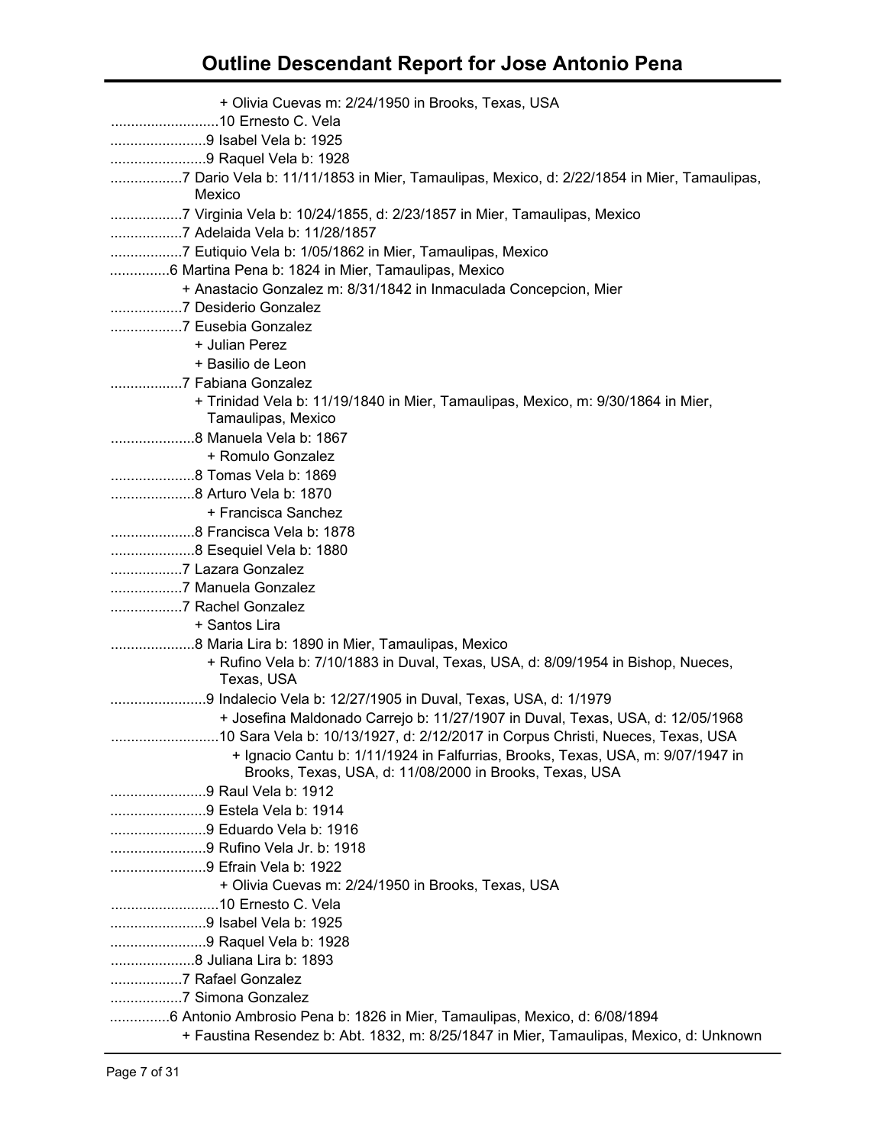| + Olivia Cuevas m: 2/24/1950 in Brooks, Texas, USA                                                                                         |
|--------------------------------------------------------------------------------------------------------------------------------------------|
| 9 Isabel Vela b: 1925                                                                                                                      |
| 9 Raquel Vela b: 1928                                                                                                                      |
| 7 Dario Vela b: 11/11/1853 in Mier, Tamaulipas, Mexico, d: 2/22/1854 in Mier, Tamaulipas,<br>Mexico                                        |
| 7 Virginia Vela b: 10/24/1855, d: 2/23/1857 in Mier, Tamaulipas, Mexico<br>7 Adelaida Vela b: 11/28/1857                                   |
|                                                                                                                                            |
| 6 Martina Pena b: 1824 in Mier, Tamaulipas, Mexico                                                                                         |
| + Anastacio Gonzalez m: 8/31/1842 in Inmaculada Concepcion, Mier                                                                           |
| 7 Desiderio Gonzalez                                                                                                                       |
| 7 Eusebia Gonzalez                                                                                                                         |
| + Julian Perez                                                                                                                             |
| + Basilio de Leon                                                                                                                          |
| 7 Fabiana Gonzalez                                                                                                                         |
| + Trinidad Vela b: 11/19/1840 in Mier, Tamaulipas, Mexico, m: 9/30/1864 in Mier,                                                           |
| Tamaulipas, Mexico                                                                                                                         |
|                                                                                                                                            |
| + Romulo Gonzalez                                                                                                                          |
| 8 Tomas Vela b: 1869                                                                                                                       |
|                                                                                                                                            |
| + Francisca Sanchez                                                                                                                        |
|                                                                                                                                            |
|                                                                                                                                            |
| 7 Lazara Gonzalez                                                                                                                          |
| 7 Manuela Gonzalez                                                                                                                         |
| 7 Rachel Gonzalez                                                                                                                          |
| + Santos Lira                                                                                                                              |
|                                                                                                                                            |
| + Rufino Vela b: 7/10/1883 in Duval, Texas, USA, d: 8/09/1954 in Bishop, Nueces,<br>Texas, USA                                             |
| 9 Indalecio Vela b: 12/27/1905 in Duval, Texas, USA, d: 1/1979                                                                             |
| + Josefina Maldonado Carrejo b: 11/27/1907 in Duval, Texas, USA, d: 12/05/1968                                                             |
|                                                                                                                                            |
| + Ignacio Cantu b: 1/11/1924 in Falfurrias, Brooks, Texas, USA, m: 9/07/1947 in<br>Brooks, Texas, USA, d: 11/08/2000 in Brooks, Texas, USA |
| 9 Raul Vela b: 1912                                                                                                                        |
| 9 Estela Vela b: 1914                                                                                                                      |
| 9 Eduardo Vela b: 1916                                                                                                                     |
| 9 Rufino Vela Jr. b: 1918                                                                                                                  |
| 9 Efrain Vela b: 1922                                                                                                                      |
| + Olivia Cuevas m: 2/24/1950 in Brooks, Texas, USA                                                                                         |
|                                                                                                                                            |
| 9 Isabel Vela b: 1925                                                                                                                      |
| 9 Raquel Vela b: 1928                                                                                                                      |
|                                                                                                                                            |
| 7 Rafael Gonzalez                                                                                                                          |
| 7 Simona Gonzalez                                                                                                                          |
| 6 Antonio Ambrosio Pena b: 1826 in Mier, Tamaulipas, Mexico, d: 6/08/1894                                                                  |
| + Faustina Resendez b: Abt. 1832, m: 8/25/1847 in Mier, Tamaulipas, Mexico, d: Unknown                                                     |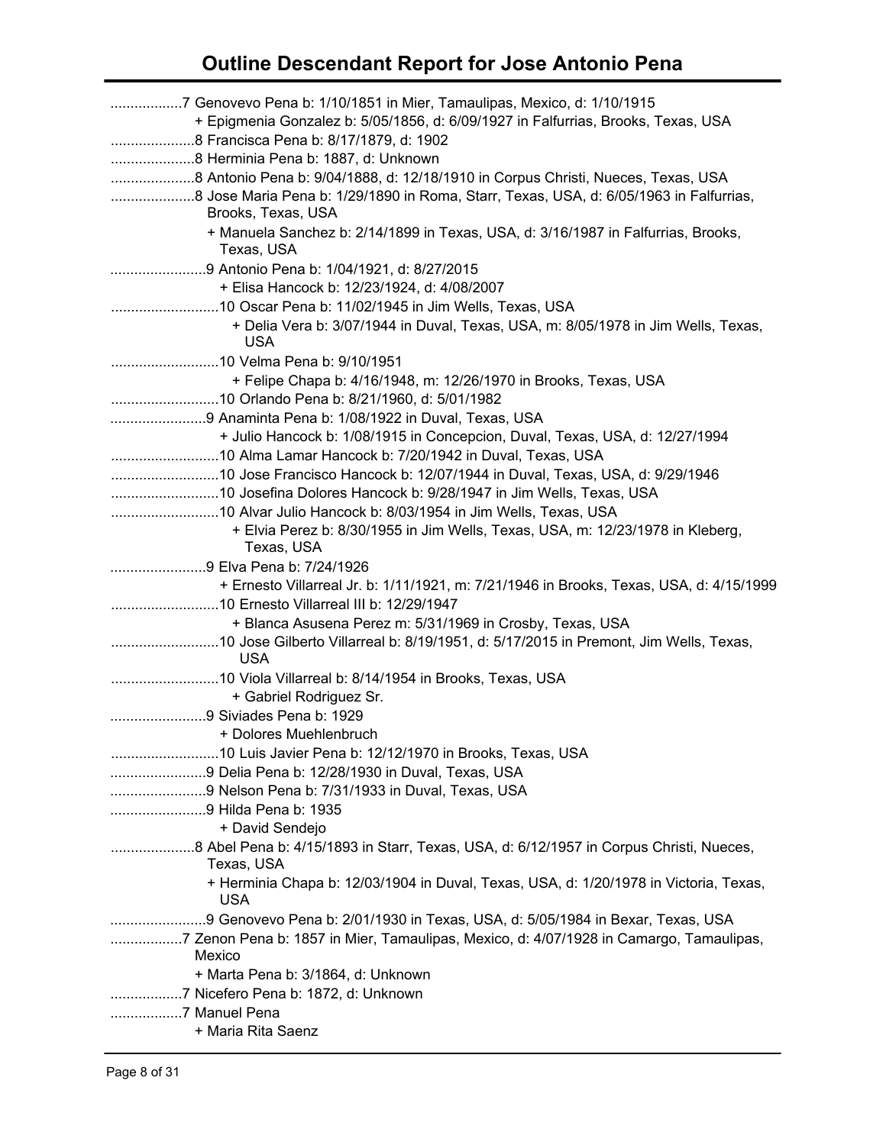| 7 Genovevo Pena b: 1/10/1851 in Mier, Tamaulipas, Mexico, d: 1/10/1915<br>+ Epigmenia Gonzalez b: 5/05/1856, d: 6/09/1927 in Falfurrias, Brooks, Texas, USA<br>8 Francisca Pena b: 8/17/1879, d: 1902 |
|-------------------------------------------------------------------------------------------------------------------------------------------------------------------------------------------------------|
| Brooks, Texas, USA<br>+ Manuela Sanchez b: 2/14/1899 in Texas, USA, d: 3/16/1987 in Falfurrias, Brooks,<br>Texas, USA                                                                                 |
| 9 Antonio Pena b: 1/04/1921, d: 8/27/2015                                                                                                                                                             |
| + Elisa Hancock b: 12/23/1924, d: 4/08/2007                                                                                                                                                           |
|                                                                                                                                                                                                       |
| + Delia Vera b: 3/07/1944 in Duval, Texas, USA, m: 8/05/1978 in Jim Wells, Texas,<br><b>USA</b>                                                                                                       |
|                                                                                                                                                                                                       |
| + Felipe Chapa b: 4/16/1948, m: 12/26/1970 in Brooks, Texas, USA                                                                                                                                      |
|                                                                                                                                                                                                       |
| + Julio Hancock b: 1/08/1915 in Concepcion, Duval, Texas, USA, d: 12/27/1994                                                                                                                          |
| 10 Alma Lamar Hancock b: 7/20/1942 in Duval, Texas, USA                                                                                                                                               |
|                                                                                                                                                                                                       |
|                                                                                                                                                                                                       |
|                                                                                                                                                                                                       |
| + Elvia Perez b: 8/30/1955 in Jim Wells, Texas, USA, m: 12/23/1978 in Kleberg,                                                                                                                        |
| Texas, USA                                                                                                                                                                                            |
| 9 Elva Pena b: 7/24/1926                                                                                                                                                                              |
| + Ernesto Villarreal Jr. b: 1/11/1921, m: 7/21/1946 in Brooks, Texas, USA, d: 4/15/1999                                                                                                               |
| + Blanca Asusena Perez m: 5/31/1969 in Crosby, Texas, USA                                                                                                                                             |
| <b>USA</b>                                                                                                                                                                                            |
|                                                                                                                                                                                                       |
| + Gabriel Rodriguez Sr.                                                                                                                                                                               |
| 9 Siviades Pena b: 1929                                                                                                                                                                               |
| + Dolores Muehlenbruch                                                                                                                                                                                |
|                                                                                                                                                                                                       |
| 9 Delia Pena b: 12/28/1930 in Duval, Texas, USA                                                                                                                                                       |
| 9 Nelson Pena b: 7/31/1933 in Duval, Texas, USA<br>9 Hilda Pena b: 1935                                                                                                                               |
| + David Sendejo                                                                                                                                                                                       |
|                                                                                                                                                                                                       |
| Texas, USA                                                                                                                                                                                            |
| + Herminia Chapa b: 12/03/1904 in Duval, Texas, USA, d: 1/20/1978 in Victoria, Texas,<br><b>USA</b>                                                                                                   |
| 9 Genovevo Pena b: 2/01/1930 in Texas, USA, d: 5/05/1984 in Bexar, Texas, USA                                                                                                                         |
| 7 Zenon Pena b: 1857 in Mier, Tamaulipas, Mexico, d: 4/07/1928 in Camargo, Tamaulipas,<br>Mexico                                                                                                      |
| + Marta Pena b: 3/1864, d: Unknown                                                                                                                                                                    |
| 7 Manuel Pena                                                                                                                                                                                         |
| + Maria Rita Saenz                                                                                                                                                                                    |
|                                                                                                                                                                                                       |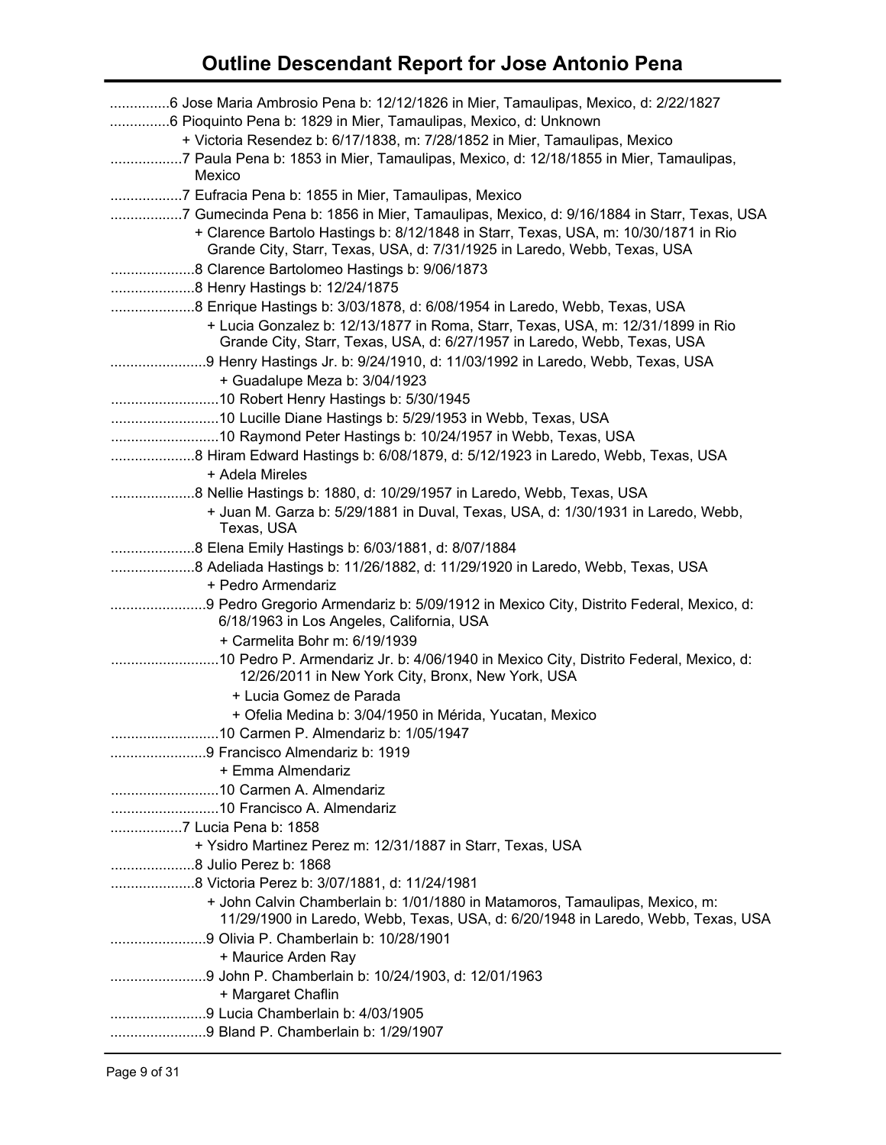| 6 Jose Maria Ambrosio Pena b: 12/12/1826 in Mier, Tamaulipas, Mexico, d: 2/22/1827<br>6 Pioquinto Pena b: 1829 in Mier, Tamaulipas, Mexico, d: Unknown<br>+ Victoria Resendez b: 6/17/1838, m: 7/28/1852 in Mier, Tamaulipas, Mexico<br>7 Paula Pena b: 1853 in Mier, Tamaulipas, Mexico, d: 12/18/1855 in Mier, Tamaulipas,<br>Mexico |
|----------------------------------------------------------------------------------------------------------------------------------------------------------------------------------------------------------------------------------------------------------------------------------------------------------------------------------------|
| 7 Eufracia Pena b: 1855 in Mier, Tamaulipas, Mexico<br>7 Gumecinda Pena b: 1856 in Mier, Tamaulipas, Mexico, d: 9/16/1884 in Starr, Texas, USA<br>+ Clarence Bartolo Hastings b: 8/12/1848 in Starr, Texas, USA, m: 10/30/1871 in Rio<br>Grande City, Starr, Texas, USA, d: 7/31/1925 in Laredo, Webb, Texas, USA                      |
|                                                                                                                                                                                                                                                                                                                                        |
| 8 Henry Hastings b: 12/24/1875                                                                                                                                                                                                                                                                                                         |
| 8 Enrique Hastings b: 3/03/1878, d: 6/08/1954 in Laredo, Webb, Texas, USA<br>+ Lucia Gonzalez b: 12/13/1877 in Roma, Starr, Texas, USA, m: 12/31/1899 in Rio<br>Grande City, Starr, Texas, USA, d: 6/27/1957 in Laredo, Webb, Texas, USA                                                                                               |
|                                                                                                                                                                                                                                                                                                                                        |
| + Guadalupe Meza b: 3/04/1923                                                                                                                                                                                                                                                                                                          |
|                                                                                                                                                                                                                                                                                                                                        |
| 10 Lucille Diane Hastings b: 5/29/1953 in Webb, Texas, USA                                                                                                                                                                                                                                                                             |
|                                                                                                                                                                                                                                                                                                                                        |
|                                                                                                                                                                                                                                                                                                                                        |
| + Adela Mireles                                                                                                                                                                                                                                                                                                                        |
|                                                                                                                                                                                                                                                                                                                                        |
| + Juan M. Garza b: 5/29/1881 in Duval, Texas, USA, d: 1/30/1931 in Laredo, Webb,                                                                                                                                                                                                                                                       |
| Texas, USA                                                                                                                                                                                                                                                                                                                             |
|                                                                                                                                                                                                                                                                                                                                        |
| 8 Adeliada Hastings b: 11/26/1882, d: 11/29/1920 in Laredo, Webb, Texas, USA                                                                                                                                                                                                                                                           |
| + Pedro Armendariz                                                                                                                                                                                                                                                                                                                     |
|                                                                                                                                                                                                                                                                                                                                        |
| 6/18/1963 in Los Angeles, California, USA                                                                                                                                                                                                                                                                                              |
| + Carmelita Bohr m: 6/19/1939                                                                                                                                                                                                                                                                                                          |
| 12/26/2011 in New York City, Bronx, New York, USA                                                                                                                                                                                                                                                                                      |
| + Lucia Gomez de Parada                                                                                                                                                                                                                                                                                                                |
| + Ofelia Medina b: 3/04/1950 in Mérida, Yucatan, Mexico                                                                                                                                                                                                                                                                                |
| 10 Carmen P. Almendariz b: 1/05/1947                                                                                                                                                                                                                                                                                                   |
| 9 Francisco Almendariz b: 1919                                                                                                                                                                                                                                                                                                         |
| + Emma Almendariz                                                                                                                                                                                                                                                                                                                      |
|                                                                                                                                                                                                                                                                                                                                        |
|                                                                                                                                                                                                                                                                                                                                        |
|                                                                                                                                                                                                                                                                                                                                        |
| + Ysidro Martinez Perez m: 12/31/1887 in Starr, Texas, USA                                                                                                                                                                                                                                                                             |
|                                                                                                                                                                                                                                                                                                                                        |
|                                                                                                                                                                                                                                                                                                                                        |
| + John Calvin Chamberlain b: 1/01/1880 in Matamoros, Tamaulipas, Mexico, m:<br>11/29/1900 in Laredo, Webb, Texas, USA, d: 6/20/1948 in Laredo, Webb, Texas, USA                                                                                                                                                                        |
|                                                                                                                                                                                                                                                                                                                                        |
| + Maurice Arden Ray                                                                                                                                                                                                                                                                                                                    |
|                                                                                                                                                                                                                                                                                                                                        |
| + Margaret Chaflin                                                                                                                                                                                                                                                                                                                     |
|                                                                                                                                                                                                                                                                                                                                        |
| 9 Bland P. Chamberlain b: 1/29/1907                                                                                                                                                                                                                                                                                                    |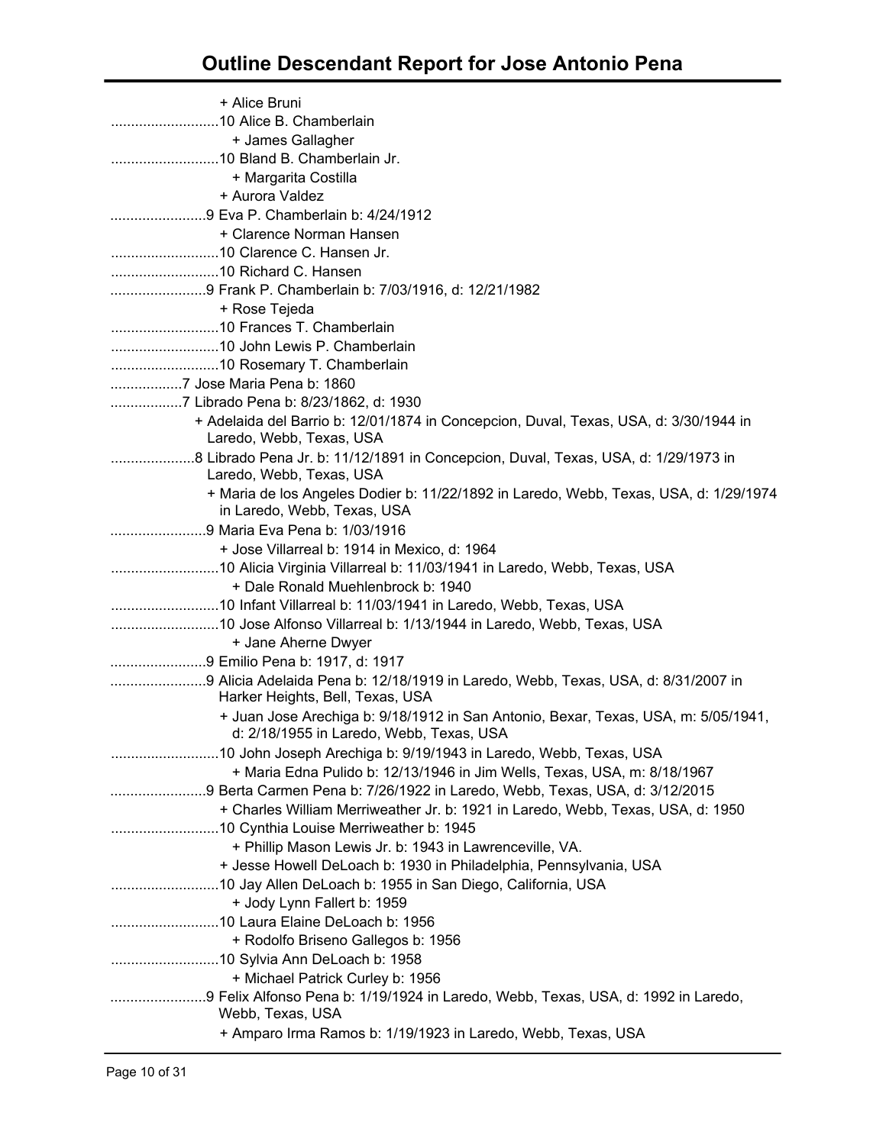| + Alice Bruni                                                                                                                  |  |
|--------------------------------------------------------------------------------------------------------------------------------|--|
|                                                                                                                                |  |
| + James Gallagher                                                                                                              |  |
|                                                                                                                                |  |
| + Margarita Costilla                                                                                                           |  |
| + Aurora Valdez                                                                                                                |  |
| 9 Eva P. Chamberlain b: 4/24/1912                                                                                              |  |
| + Clarence Norman Hansen                                                                                                       |  |
|                                                                                                                                |  |
|                                                                                                                                |  |
| 9 Frank P. Chamberlain b: 7/03/1916, d: 12/21/1982                                                                             |  |
| + Rose Tejeda                                                                                                                  |  |
| 10 Frances T. Chamberlain                                                                                                      |  |
|                                                                                                                                |  |
|                                                                                                                                |  |
| 7 Jose Maria Pena b: 1860                                                                                                      |  |
| 7 Librado Pena b: 8/23/1862, d: 1930                                                                                           |  |
| + Adelaida del Barrio b: 12/01/1874 in Concepcion, Duval, Texas, USA, d: 3/30/1944 in<br>Laredo, Webb, Texas, USA              |  |
| 8 Librado Pena Jr. b: 11/12/1891 in Concepcion, Duval, Texas, USA, d: 1/29/1973 in<br>Laredo, Webb, Texas, USA                 |  |
| + Maria de los Angeles Dodier b: 11/22/1892 in Laredo, Webb, Texas, USA, d: 1/29/1974<br>in Laredo, Webb, Texas, USA           |  |
| 9 Maria Eva Pena b: 1/03/1916                                                                                                  |  |
| + Jose Villarreal b: 1914 in Mexico, d: 1964                                                                                   |  |
| 10 Alicia Virginia Villarreal b: 11/03/1941 in Laredo, Webb, Texas, USA                                                        |  |
| + Dale Ronald Muehlenbrock b: 1940                                                                                             |  |
| 10 Infant Villarreal b: 11/03/1941 in Laredo, Webb, Texas, USA                                                                 |  |
|                                                                                                                                |  |
| + Jane Aherne Dwyer                                                                                                            |  |
| 9 Emilio Pena b: 1917, d: 1917                                                                                                 |  |
| 9 Alicia Adelaida Pena b: 12/18/1919 in Laredo, Webb, Texas, USA, d: 8/31/2007 in                                              |  |
| Harker Heights, Bell, Texas, USA                                                                                               |  |
| + Juan Jose Arechiga b: 9/18/1912 in San Antonio, Bexar, Texas, USA, m: 5/05/1941,<br>d: 2/18/1955 in Laredo, Webb, Texas, USA |  |
| 10 John Joseph Arechiga b: 9/19/1943 in Laredo, Webb, Texas, USA                                                               |  |
| + Maria Edna Pulido b: 12/13/1946 in Jim Wells, Texas, USA, m: 8/18/1967                                                       |  |
| 9 Berta Carmen Pena b: 7/26/1922 in Laredo, Webb, Texas, USA, d: 3/12/2015                                                     |  |
| + Charles William Merriweather Jr. b: 1921 in Laredo, Webb, Texas, USA, d: 1950                                                |  |
|                                                                                                                                |  |
| + Phillip Mason Lewis Jr. b: 1943 in Lawrenceville, VA.                                                                        |  |
| + Jesse Howell DeLoach b: 1930 in Philadelphia, Pennsylvania, USA                                                              |  |
| 10 Jay Allen DeLoach b: 1955 in San Diego, California, USA                                                                     |  |
| + Jody Lynn Fallert b: 1959                                                                                                    |  |
|                                                                                                                                |  |
| + Rodolfo Briseno Gallegos b: 1956                                                                                             |  |
|                                                                                                                                |  |
| + Michael Patrick Curley b: 1956                                                                                               |  |
| 9 Felix Alfonso Pena b: 1/19/1924 in Laredo, Webb, Texas, USA, d: 1992 in Laredo,<br>Webb, Texas, USA                          |  |
| + Amparo Irma Ramos b: 1/19/1923 in Laredo, Webb, Texas, USA                                                                   |  |
|                                                                                                                                |  |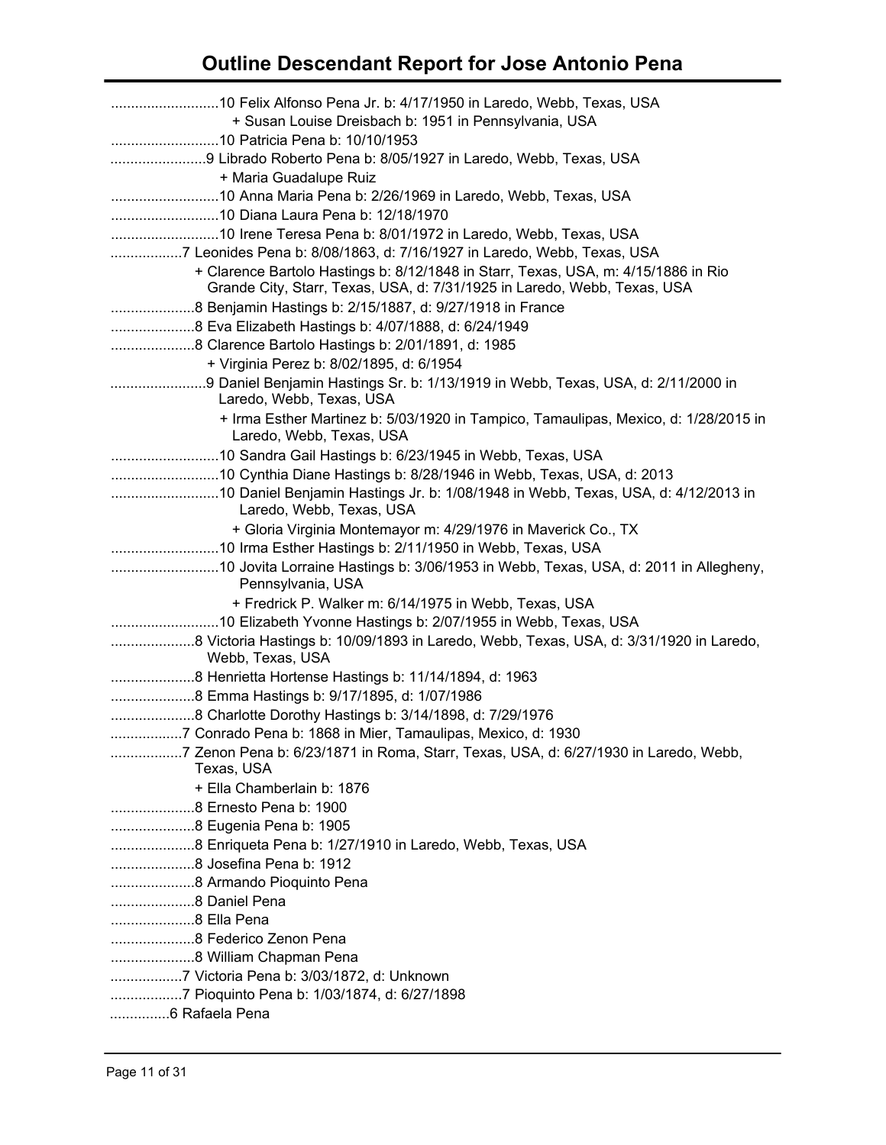| + Susan Louise Dreisbach b: 1951 in Pennsylvania, USA                                                                                                          |
|----------------------------------------------------------------------------------------------------------------------------------------------------------------|
| 9 Librado Roberto Pena b: 8/05/1927 in Laredo, Webb, Texas, USA                                                                                                |
| + Maria Guadalupe Ruiz<br>10 Anna Maria Pena b: 2/26/1969 in Laredo, Webb, Texas, USA                                                                          |
|                                                                                                                                                                |
|                                                                                                                                                                |
| 7 Leonides Pena b: 8/08/1863, d: 7/16/1927 in Laredo, Webb, Texas, USA                                                                                         |
| + Clarence Bartolo Hastings b: 8/12/1848 in Starr, Texas, USA, m: 4/15/1886 in Rio<br>Grande City, Starr, Texas, USA, d: 7/31/1925 in Laredo, Webb, Texas, USA |
|                                                                                                                                                                |
| 8 Eva Elizabeth Hastings b: 4/07/1888, d: 6/24/1949                                                                                                            |
| 8 Clarence Bartolo Hastings b: 2/01/1891, d: 1985                                                                                                              |
| + Virginia Perez b: 8/02/1895, d: 6/1954                                                                                                                       |
| 9 Daniel Benjamin Hastings Sr. b: 1/13/1919 in Webb, Texas, USA, d: 2/11/2000 in<br>Laredo, Webb, Texas, USA                                                   |
| + Irma Esther Martinez b: 5/03/1920 in Tampico, Tamaulipas, Mexico, d: 1/28/2015 in<br>Laredo, Webb, Texas, USA                                                |
|                                                                                                                                                                |
| 10 Cynthia Diane Hastings b: 8/28/1946 in Webb, Texas, USA, d: 2013                                                                                            |
| Laredo, Webb, Texas, USA                                                                                                                                       |
| + Gloria Virginia Montemayor m: 4/29/1976 in Maverick Co., TX                                                                                                  |
|                                                                                                                                                                |
| Pennsylvania, USA                                                                                                                                              |
| + Fredrick P. Walker m: 6/14/1975 in Webb, Texas, USA                                                                                                          |
|                                                                                                                                                                |
| 8 Victoria Hastings b: 10/09/1893 in Laredo, Webb, Texas, USA, d: 3/31/1920 in Laredo,<br>Webb, Texas, USA                                                     |
|                                                                                                                                                                |
| 8 Emma Hastings b: 9/17/1895, d: 1/07/1986                                                                                                                     |
| 8 Charlotte Dorothy Hastings b: 3/14/1898, d: 7/29/1976                                                                                                        |
| 7 Conrado Pena b: 1868 in Mier, Tamaulipas, Mexico, d: 1930                                                                                                    |
| 7 Zenon Pena b: 6/23/1871 in Roma, Starr, Texas, USA, d: 6/27/1930 in Laredo, Webb,                                                                            |
| Texas, USA                                                                                                                                                     |
| + Ella Chamberlain b: 1876                                                                                                                                     |
|                                                                                                                                                                |
| 8 Eugenia Pena b: 1905                                                                                                                                         |
| 8 Enriqueta Pena b: 1/27/1910 in Laredo, Webb, Texas, USA                                                                                                      |
| 8 Josefina Pena b: 1912                                                                                                                                        |
|                                                                                                                                                                |
| 8 Daniel Pena                                                                                                                                                  |
| 8 Ella Pena                                                                                                                                                    |
|                                                                                                                                                                |
| 8 William Chapman Pena                                                                                                                                         |
|                                                                                                                                                                |
|                                                                                                                                                                |
| 6 Rafaela Pena                                                                                                                                                 |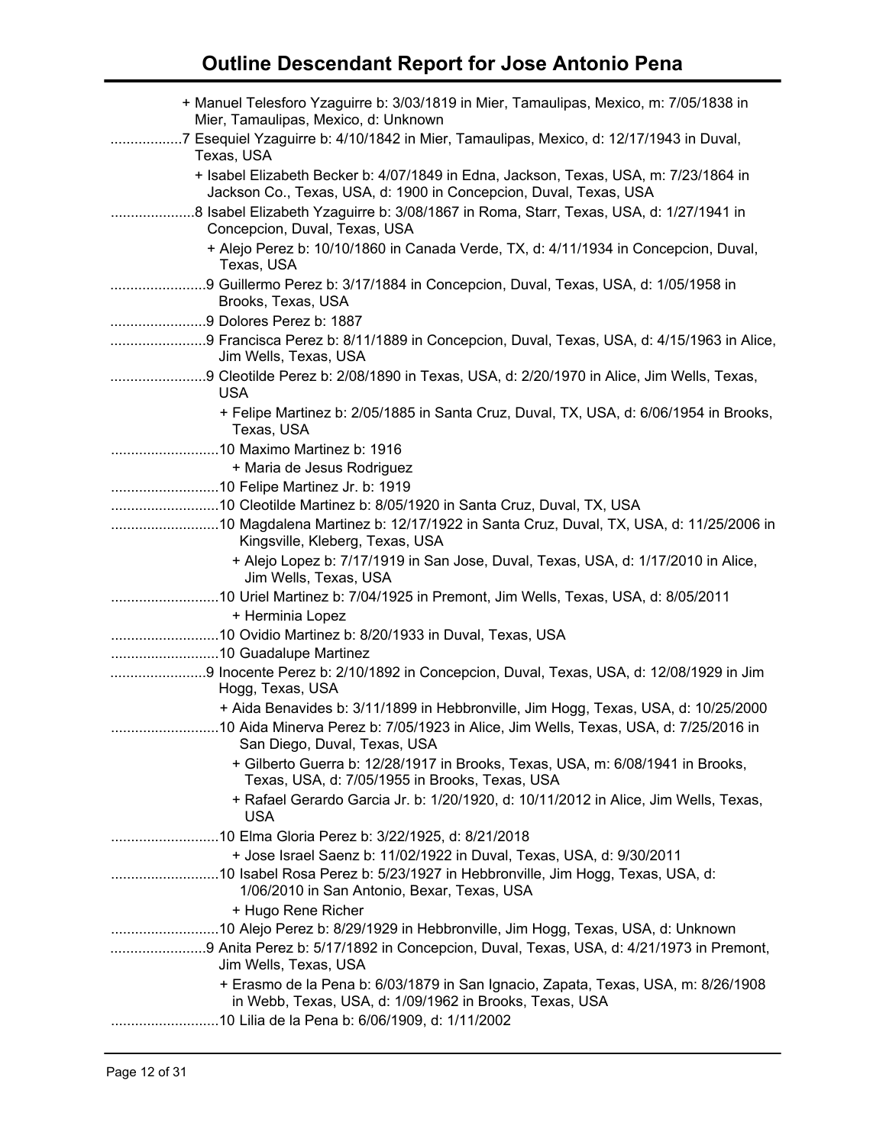| + Manuel Telesforo Yzaguirre b: 3/03/1819 in Mier, Tamaulipas, Mexico, m: 7/05/1838 in<br>Mier, Tamaulipas, Mexico, d: Unknown                            |
|-----------------------------------------------------------------------------------------------------------------------------------------------------------|
| 7 Esequiel Yzaguirre b: 4/10/1842 in Mier, Tamaulipas, Mexico, d: 12/17/1943 in Duval,<br>.<br>Texas, USA                                                 |
| + Isabel Elizabeth Becker b: 4/07/1849 in Edna, Jackson, Texas, USA, m: 7/23/1864 in<br>Jackson Co., Texas, USA, d: 1900 in Concepcion, Duval, Texas, USA |
| 8 Isabel Elizabeth Yzaguirre b: 3/08/1867 in Roma, Starr, Texas, USA, d: 1/27/1941 in<br>Concepcion, Duval, Texas, USA                                    |
| + Alejo Perez b: 10/10/1860 in Canada Verde, TX, d: 4/11/1934 in Concepcion, Duval,<br>Texas, USA                                                         |
| 9 Guillermo Perez b: 3/17/1884 in Concepcion, Duval, Texas, USA, d: 1/05/1958 in<br>Brooks, Texas, USA                                                    |
| 9 Dolores Perez b: 1887                                                                                                                                   |
| 9 Francisca Perez b: 8/11/1889 in Concepcion, Duval, Texas, USA, d: 4/15/1963 in Alice,<br>Jim Wells, Texas, USA                                          |
| 9 Cleotilde Perez b: 2/08/1890 in Texas, USA, d: 2/20/1970 in Alice, Jim Wells, Texas,<br><b>USA</b>                                                      |
| + Felipe Martinez b: 2/05/1885 in Santa Cruz, Duval, TX, USA, d: 6/06/1954 in Brooks,<br>Texas, USA                                                       |
|                                                                                                                                                           |
| + Maria de Jesus Rodriguez                                                                                                                                |
|                                                                                                                                                           |
| 10 Cleotilde Martinez b: 8/05/1920 in Santa Cruz, Duval, TX, USA                                                                                          |
| 10 Magdalena Martinez b: 12/17/1922 in Santa Cruz, Duval, TX, USA, d: 11/25/2006 in<br>Kingsville, Kleberg, Texas, USA                                    |
| + Alejo Lopez b: 7/17/1919 in San Jose, Duval, Texas, USA, d: 1/17/2010 in Alice,<br>Jim Wells, Texas, USA                                                |
| 10 Uriel Martinez b: 7/04/1925 in Premont, Jim Wells, Texas, USA, d: 8/05/2011                                                                            |
| + Herminia Lopez                                                                                                                                          |
|                                                                                                                                                           |
|                                                                                                                                                           |
| 9 Inocente Perez b: 2/10/1892 in Concepcion, Duval, Texas, USA, d: 12/08/1929 in Jim                                                                      |
| Hogg, Texas, USA                                                                                                                                          |
| + Aida Benavides b: 3/11/1899 in Hebbronville, Jim Hogg, Texas, USA, d: 10/25/2000                                                                        |
| 10 Aida Minerva Perez b: 7/05/1923 in Alice, Jim Wells, Texas, USA, d: 7/25/2016 in<br>San Diego, Duval, Texas, USA                                       |
| + Gilberto Guerra b: 12/28/1917 in Brooks, Texas, USA, m: 6/08/1941 in Brooks,<br>Texas, USA, d: 7/05/1955 in Brooks, Texas, USA                          |
| + Rafael Gerardo Garcia Jr. b: 1/20/1920, d: 10/11/2012 in Alice, Jim Wells, Texas,<br>USA                                                                |
|                                                                                                                                                           |
| + Jose Israel Saenz b: 11/02/1922 in Duval, Texas, USA, d: 9/30/2011                                                                                      |
| 1/06/2010 in San Antonio, Bexar, Texas, USA                                                                                                               |
| + Hugo Rene Richer                                                                                                                                        |
| 10 Alejo Perez b: 8/29/1929 in Hebbronville, Jim Hogg, Texas, USA, d: Unknown                                                                             |
| 9 Anita Perez b: 5/17/1892 in Concepcion, Duval, Texas, USA, d: 4/21/1973 in Premont,<br>Jim Wells, Texas, USA                                            |
| + Erasmo de la Pena b: 6/03/1879 in San Ignacio, Zapata, Texas, USA, m: 8/26/1908<br>in Webb, Texas, USA, d: 1/09/1962 in Brooks, Texas, USA              |
| 10 Lilia de la Pena b: 6/06/1909, d: 1/11/2002                                                                                                            |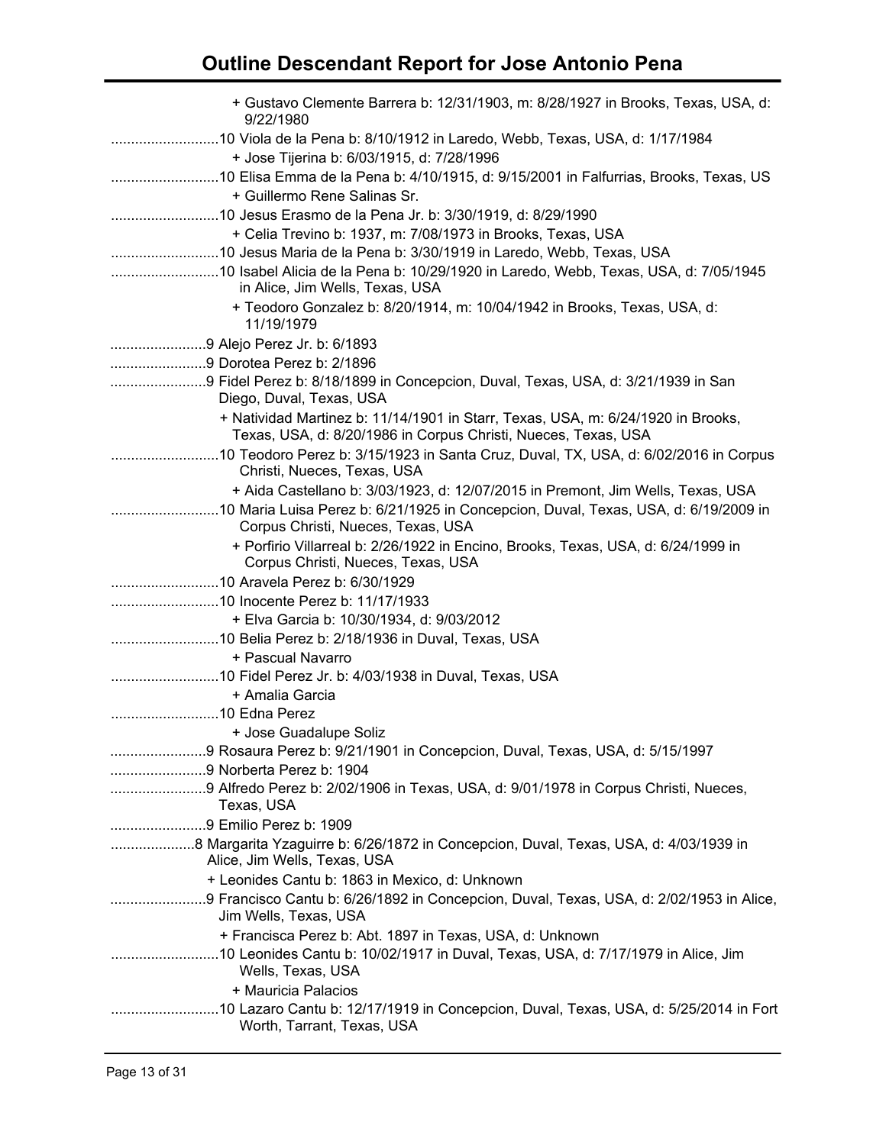| + Gustavo Clemente Barrera b: 12/31/1903, m: 8/28/1927 in Brooks, Texas, USA, d:<br>9/22/1980                                                      |
|----------------------------------------------------------------------------------------------------------------------------------------------------|
| 10 Viola de la Pena b: 8/10/1912 in Laredo, Webb, Texas, USA, d: 1/17/1984                                                                         |
| + Jose Tijerina b: 6/03/1915, d: 7/28/1996                                                                                                         |
|                                                                                                                                                    |
| + Guillermo Rene Salinas Sr.                                                                                                                       |
| 10 Jesus Erasmo de la Pena Jr. b: 3/30/1919, d: 8/29/1990                                                                                          |
| + Celia Trevino b: 1937, m: 7/08/1973 in Brooks, Texas, USA                                                                                        |
|                                                                                                                                                    |
| in Alice, Jim Wells, Texas, USA                                                                                                                    |
| + Teodoro Gonzalez b: 8/20/1914, m: 10/04/1942 in Brooks, Texas, USA, d:<br>11/19/1979                                                             |
|                                                                                                                                                    |
| 9 Dorotea Perez b: 2/1896                                                                                                                          |
| 9 Fidel Perez b: 8/18/1899 in Concepcion, Duval, Texas, USA, d: 3/21/1939 in San                                                                   |
| Diego, Duval, Texas, USA                                                                                                                           |
| + Natividad Martinez b: 11/14/1901 in Starr, Texas, USA, m: 6/24/1920 in Brooks,<br>Texas, USA, d: 8/20/1986 in Corpus Christi, Nueces, Texas, USA |
| Christi, Nueces, Texas, USA                                                                                                                        |
| + Aida Castellano b: 3/03/1923, d: 12/07/2015 in Premont, Jim Wells, Texas, USA                                                                    |
| Corpus Christi, Nueces, Texas, USA                                                                                                                 |
| + Porfirio Villarreal b: 2/26/1922 in Encino, Brooks, Texas, USA, d: 6/24/1999 in                                                                  |
| Corpus Christi, Nueces, Texas, USA                                                                                                                 |
|                                                                                                                                                    |
|                                                                                                                                                    |
| + Elva Garcia b: 10/30/1934, d: 9/03/2012                                                                                                          |
|                                                                                                                                                    |
| + Pascual Navarro                                                                                                                                  |
|                                                                                                                                                    |
| + Amalia Garcia                                                                                                                                    |
|                                                                                                                                                    |
| + Jose Guadalupe Soliz                                                                                                                             |
|                                                                                                                                                    |
| 9 Norberta Perez b: 1904                                                                                                                           |
| Texas, USA                                                                                                                                         |
| 9 Emilio Perez b: 1909                                                                                                                             |
| Alice, Jim Wells, Texas, USA                                                                                                                       |
| + Leonides Cantu b: 1863 in Mexico, d: Unknown                                                                                                     |
| 9 Francisco Cantu b: 6/26/1892 in Concepcion, Duval, Texas, USA, d: 2/02/1953 in Alice,<br>Jim Wells, Texas, USA                                   |
| + Francisca Perez b: Abt. 1897 in Texas, USA, d: Unknown                                                                                           |
| Wells, Texas, USA                                                                                                                                  |
| + Mauricia Palacios                                                                                                                                |
| Worth, Tarrant, Texas, USA                                                                                                                         |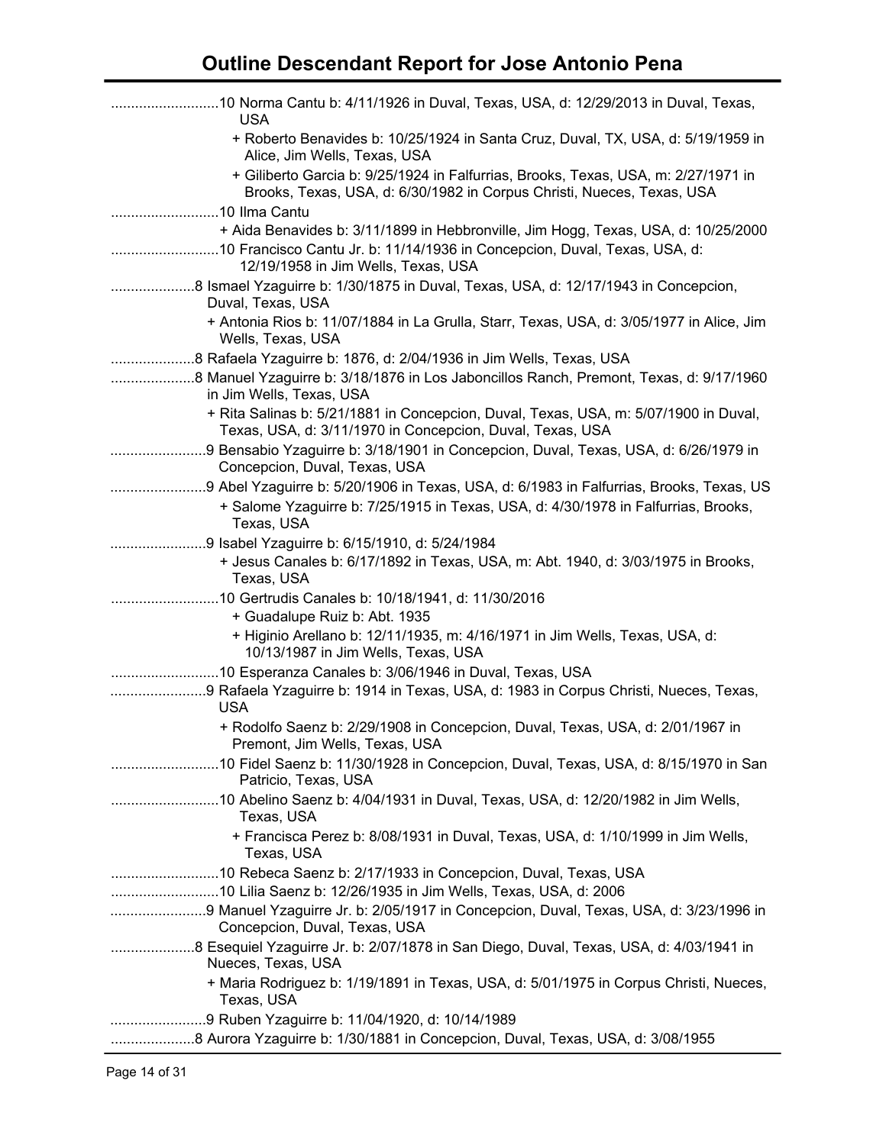| 10 Norma Cantu b: 4/11/1926 in Duval, Texas, USA, d: 12/29/2013 in Duval, Texas,<br><b>USA</b>                                                               |
|--------------------------------------------------------------------------------------------------------------------------------------------------------------|
| + Roberto Benavides b: 10/25/1924 in Santa Cruz, Duval, TX, USA, d: 5/19/1959 in<br>Alice, Jim Wells, Texas, USA                                             |
| + Giliberto Garcia b: 9/25/1924 in Falfurrias, Brooks, Texas, USA, m: 2/27/1971 in<br>Brooks, Texas, USA, d: 6/30/1982 in Corpus Christi, Nueces, Texas, USA |
|                                                                                                                                                              |
| + Aida Benavides b: 3/11/1899 in Hebbronville, Jim Hogg, Texas, USA, d: 10/25/2000                                                                           |
| 10 Francisco Cantu Jr. b: 11/14/1936 in Concepcion, Duval, Texas, USA, d:<br>12/19/1958 in Jim Wells, Texas, USA                                             |
| 8 Ismael Yzaguirre b: 1/30/1875 in Duval, Texas, USA, d: 12/17/1943 in Concepcion,<br>Duval, Texas, USA                                                      |
| + Antonia Rios b: 11/07/1884 in La Grulla, Starr, Texas, USA, d: 3/05/1977 in Alice, Jim<br>Wells, Texas, USA                                                |
| 8 Rafaela Yzaguirre b: 1876, d: 2/04/1936 in Jim Wells, Texas, USA                                                                                           |
| in Jim Wells, Texas, USA                                                                                                                                     |
| + Rita Salinas b: 5/21/1881 in Concepcion, Duval, Texas, USA, m: 5/07/1900 in Duval,<br>Texas, USA, d: 3/11/1970 in Concepcion, Duval, Texas, USA            |
| Concepcion, Duval, Texas, USA                                                                                                                                |
| 9 Abel Yzaguirre b: 5/20/1906 in Texas, USA, d: 6/1983 in Falfurrias, Brooks, Texas, US                                                                      |
| + Salome Yzaguirre b: 7/25/1915 in Texas, USA, d: 4/30/1978 in Falfurrias, Brooks,<br>Texas, USA                                                             |
|                                                                                                                                                              |
| + Jesus Canales b: 6/17/1892 in Texas, USA, m: Abt. 1940, d: 3/03/1975 in Brooks,<br>Texas, USA                                                              |
|                                                                                                                                                              |
| + Guadalupe Ruiz b: Abt. 1935                                                                                                                                |
| + Higinio Arellano b: 12/11/1935, m: 4/16/1971 in Jim Wells, Texas, USA, d:<br>10/13/1987 in Jim Wells, Texas, USA                                           |
| 10 Esperanza Canales b: 3/06/1946 in Duval, Texas, USA                                                                                                       |
| 9 Rafaela Yzaguirre b: 1914 in Texas, USA, d: 1983 in Corpus Christi, Nueces, Texas,<br><b>USA</b>                                                           |
| + Rodolfo Saenz b: 2/29/1908 in Concepcion, Duval, Texas, USA, d: 2/01/1967 in<br>Premont, Jim Wells, Texas, USA                                             |
| 10 Fidel Saenz b: 11/30/1928 in Concepcion, Duval, Texas, USA, d: 8/15/1970 in San<br>Patricio, Texas, USA                                                   |
| Texas, USA                                                                                                                                                   |
| + Francisca Perez b: 8/08/1931 in Duval, Texas, USA, d: 1/10/1999 in Jim Wells,<br>Texas, USA                                                                |
| 10 Rebeca Saenz b: 2/17/1933 in Concepcion, Duval, Texas, USA                                                                                                |
|                                                                                                                                                              |
| 9 Manuel Yzaguirre Jr. b: 2/05/1917 in Concepcion, Duval, Texas, USA, d: 3/23/1996 in<br>Concepcion, Duval, Texas, USA                                       |
| 8 Esequiel Yzaguirre Jr. b: 2/07/1878 in San Diego, Duval, Texas, USA, d: 4/03/1941 in<br>Nueces, Texas, USA                                                 |
| + Maria Rodriguez b: 1/19/1891 in Texas, USA, d: 5/01/1975 in Corpus Christi, Nueces,<br>Texas, USA                                                          |
| 9 Ruben Yzaguirre b: 11/04/1920, d: 10/14/1989                                                                                                               |
| 8 Aurora Yzaguirre b: 1/30/1881 in Concepcion, Duval, Texas, USA, d: 3/08/1955                                                                               |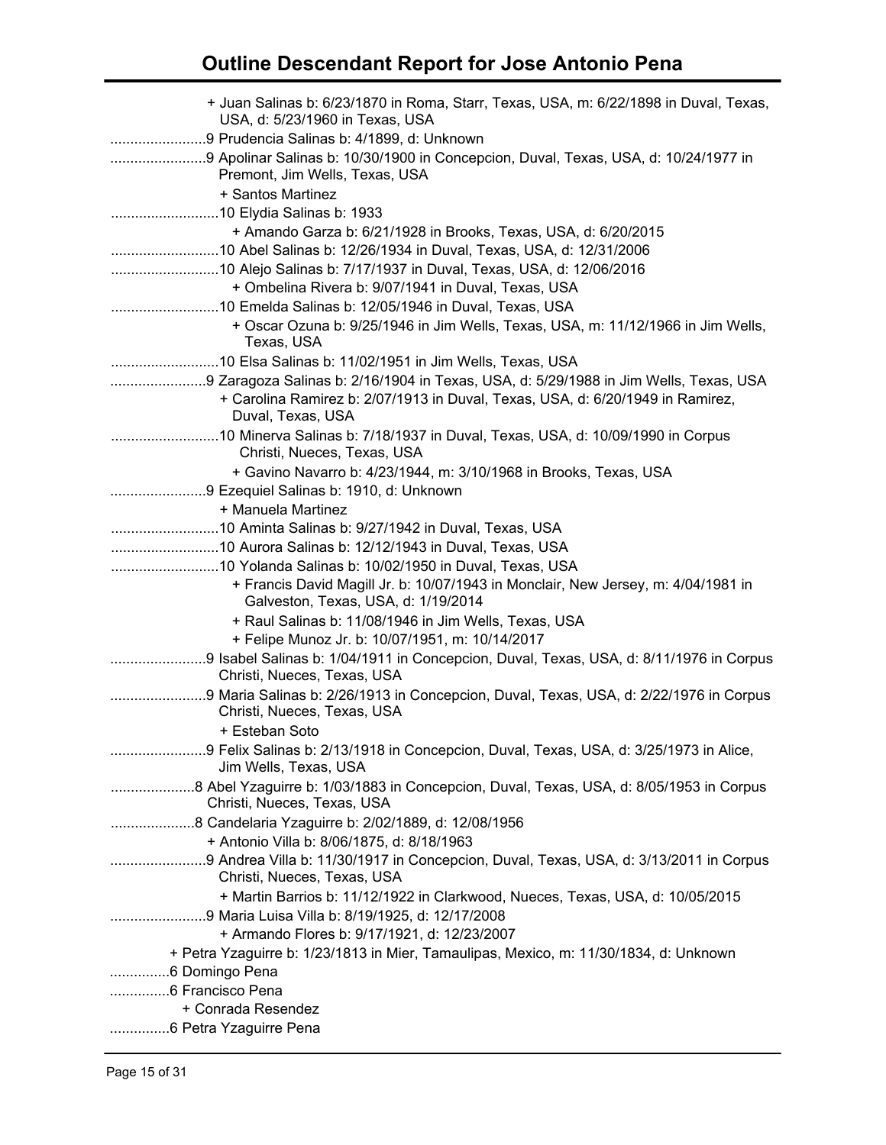| + Juan Salinas b: 6/23/1870 in Roma, Starr, Texas, USA, m: 6/22/1898 in Duval, Texas,<br>USA, d: 5/23/1960 in Texas, USA                  |
|-------------------------------------------------------------------------------------------------------------------------------------------|
| 9 Prudencia Salinas b: 4/1899, d: Unknown                                                                                                 |
| 9 Apolinar Salinas b: 10/30/1900 in Concepcion, Duval, Texas, USA, d: 10/24/1977 in                                                       |
| Premont, Jim Wells, Texas, USA                                                                                                            |
| + Santos Martinez                                                                                                                         |
|                                                                                                                                           |
| + Amando Garza b: 6/21/1928 in Brooks, Texas, USA, d: 6/20/2015                                                                           |
| 10 Alejo Salinas b: 7/17/1937 in Duval, Texas, USA, d: 12/06/2016                                                                         |
| + Ombelina Rivera b: 9/07/1941 in Duval, Texas, USA                                                                                       |
| 10 Emelda Salinas b: 12/05/1946 in Duval, Texas, USA                                                                                      |
| + Oscar Ozuna b: 9/25/1946 in Jim Wells, Texas, USA, m: 11/12/1966 in Jim Wells,                                                          |
| Texas, USA                                                                                                                                |
|                                                                                                                                           |
| 9 Zaragoza Salinas b: 2/16/1904 in Texas, USA, d: 5/29/1988 in Jim Wells, Texas, USA                                                      |
| + Carolina Ramirez b: 2/07/1913 in Duval, Texas, USA, d: 6/20/1949 in Ramirez,                                                            |
| Duval, Texas, USA                                                                                                                         |
| Christi, Nueces, Texas, USA                                                                                                               |
| + Gavino Navarro b: 4/23/1944, m: 3/10/1968 in Brooks, Texas, USA                                                                         |
| 9 Ezequiel Salinas b: 1910, d: Unknown                                                                                                    |
| + Manuela Martinez                                                                                                                        |
|                                                                                                                                           |
|                                                                                                                                           |
| + Francis David Magill Jr. b: 10/07/1943 in Monclair, New Jersey, m: 4/04/1981 in                                                         |
| Galveston, Texas, USA, d: 1/19/2014                                                                                                       |
| + Raul Salinas b: 11/08/1946 in Jim Wells, Texas, USA                                                                                     |
| + Felipe Munoz Jr. b: 10/07/1951, m: 10/14/2017<br>9 Isabel Salinas b: 1/04/1911 in Concepcion, Duval, Texas, USA, d: 8/11/1976 in Corpus |
| Christi, Nueces, Texas, USA                                                                                                               |
| 9 Maria Salinas b: 2/26/1913 in Concepcion, Duval, Texas, USA, d: 2/22/1976 in Corpus<br>Christi, Nueces, Texas, USA                      |
| + Esteban Soto                                                                                                                            |
| Jim Wells, Texas, USA                                                                                                                     |
| Christi, Nueces, Texas, USA                                                                                                               |
| 8 Candelaria Yzaguirre b: 2/02/1889, d: 12/08/1956<br>+ Antonio Villa b: 8/06/1875, d: 8/18/1963                                          |
| Christi, Nueces, Texas, USA                                                                                                               |
| + Martin Barrios b: 11/12/1922 in Clarkwood, Nueces, Texas, USA, d: 10/05/2015<br>9 Maria Luisa Villa b: 8/19/1925, d: 12/17/2008         |
| + Armando Flores b: 9/17/1921, d: 12/23/2007                                                                                              |
| + Petra Yzaguirre b: 1/23/1813 in Mier, Tamaulipas, Mexico, m: 11/30/1834, d: Unknown                                                     |
| 6 Domingo Pena                                                                                                                            |
| 6 Francisco Pena                                                                                                                          |
| + Conrada Resendez                                                                                                                        |
| 6 Petra Yzaguirre Pena                                                                                                                    |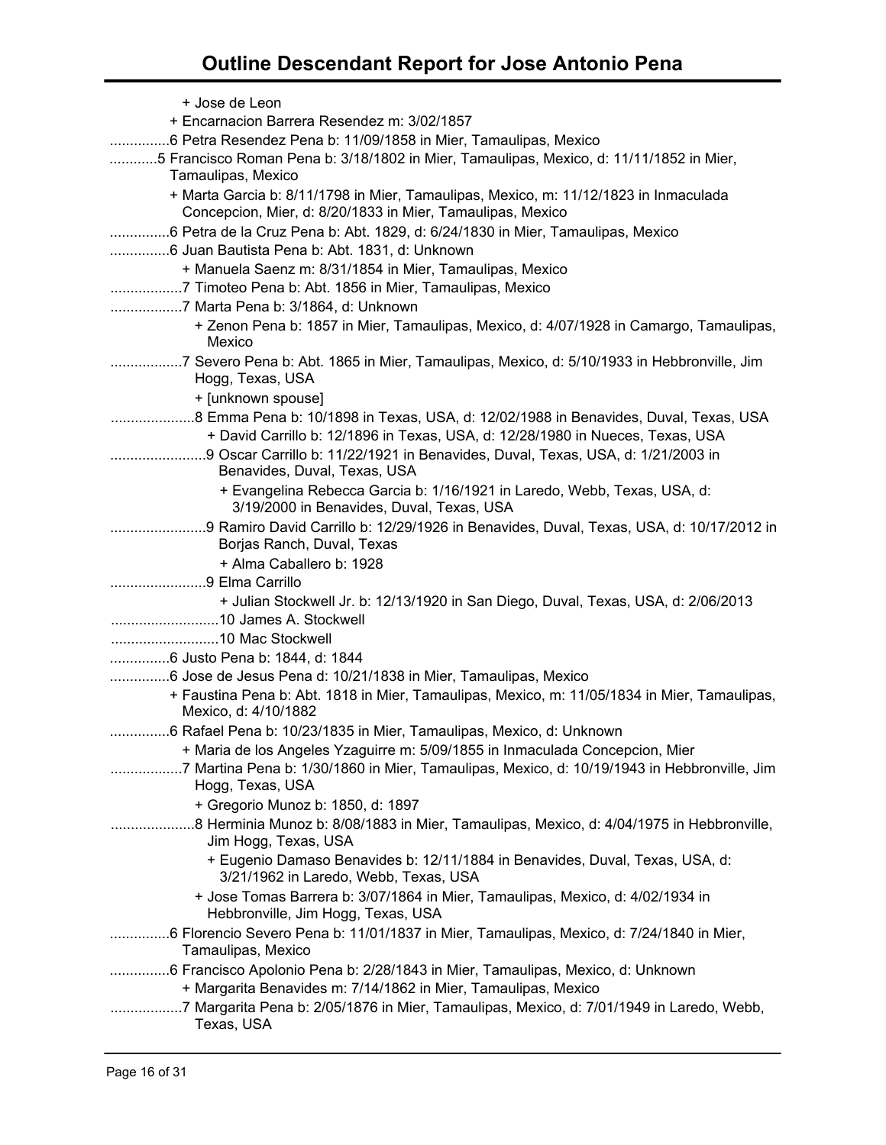| + Jose de Leon                                                                                                                                     |
|----------------------------------------------------------------------------------------------------------------------------------------------------|
| + Encarnacion Barrera Resendez m: 3/02/1857                                                                                                        |
| 6 Petra Resendez Pena b: 11/09/1858 in Mier, Tamaulipas, Mexico                                                                                    |
| 5 Francisco Roman Pena b: 3/18/1802 in Mier, Tamaulipas, Mexico, d: 11/11/1852 in Mier,<br>Tamaulipas, Mexico                                      |
| + Marta Garcia b: 8/11/1798 in Mier, Tamaulipas, Mexico, m: 11/12/1823 in Inmaculada<br>Concepcion, Mier, d: 8/20/1833 in Mier, Tamaulipas, Mexico |
| 6 Petra de la Cruz Pena b: Abt. 1829, d: 6/24/1830 in Mier, Tamaulipas, Mexico                                                                     |
| 6 Juan Bautista Pena b: Abt. 1831, d: Unknown                                                                                                      |
| + Manuela Saenz m: 8/31/1854 in Mier, Tamaulipas, Mexico                                                                                           |
| 7 Timoteo Pena b: Abt. 1856 in Mier, Tamaulipas, Mexico                                                                                            |
| 7 Marta Pena b: 3/1864, d: Unknown                                                                                                                 |
| + Zenon Pena b: 1857 in Mier, Tamaulipas, Mexico, d: 4/07/1928 in Camargo, Tamaulipas,<br>Mexico                                                   |
| 7 Severo Pena b: Abt. 1865 in Mier, Tamaulipas, Mexico, d: 5/10/1933 in Hebbronville, Jim<br>Hogg, Texas, USA                                      |
| + [unknown spouse]                                                                                                                                 |
| + David Carrillo b: 12/1896 in Texas, USA, d: 12/28/1980 in Nueces, Texas, USA                                                                     |
| Benavides, Duval, Texas, USA                                                                                                                       |
| + Evangelina Rebecca Garcia b: 1/16/1921 in Laredo, Webb, Texas, USA, d:<br>3/19/2000 in Benavides, Duval, Texas, USA                              |
| 9 Ramiro David Carrillo b: 12/29/1926 in Benavides, Duval, Texas, USA, d: 10/17/2012 in<br>Borjas Ranch, Duval, Texas                              |
| + Alma Caballero b: 1928                                                                                                                           |
| 9 Elma Carrillo                                                                                                                                    |
| + Julian Stockwell Jr. b: 12/13/1920 in San Diego, Duval, Texas, USA, d: 2/06/2013                                                                 |
|                                                                                                                                                    |
|                                                                                                                                                    |
|                                                                                                                                                    |
| 6 Jose de Jesus Pena d: 10/21/1838 in Mier, Tamaulipas, Mexico                                                                                     |
| + Faustina Pena b: Abt. 1818 in Mier, Tamaulipas, Mexico, m: 11/05/1834 in Mier, Tamaulipas,<br>Mexico, d: 4/10/1882                               |
| 6 Rafael Pena b: 10/23/1835 in Mier, Tamaulipas, Mexico, d: Unknown                                                                                |
| + Maria de los Angeles Yzaguirre m: 5/09/1855 in Inmaculada Concepcion, Mier                                                                       |
| 7 Martina Pena b: 1/30/1860 in Mier, Tamaulipas, Mexico, d: 10/19/1943 in Hebbronville, Jim<br>.<br>Hogg, Texas, USA                               |
| + Gregorio Munoz b: 1850, d: 1897                                                                                                                  |
| Jim Hogg, Texas, USA                                                                                                                               |
| + Eugenio Damaso Benavides b: 12/11/1884 in Benavides, Duval, Texas, USA, d:<br>3/21/1962 in Laredo, Webb, Texas, USA                              |
| + Jose Tomas Barrera b: 3/07/1864 in Mier, Tamaulipas, Mexico, d: 4/02/1934 in<br>Hebbronville, Jim Hogg, Texas, USA                               |
| 6 Florencio Severo Pena b: 11/01/1837 in Mier, Tamaulipas, Mexico, d: 7/24/1840 in Mier,<br>Tamaulipas, Mexico                                     |
| 6 Francisco Apolonio Pena b: 2/28/1843 in Mier, Tamaulipas, Mexico, d: Unknown                                                                     |
| + Margarita Benavides m: 7/14/1862 in Mier, Tamaulipas, Mexico                                                                                     |
| 7 Margarita Pena b: 2/05/1876 in Mier, Tamaulipas, Mexico, d: 7/01/1949 in Laredo, Webb,<br>Texas, USA                                             |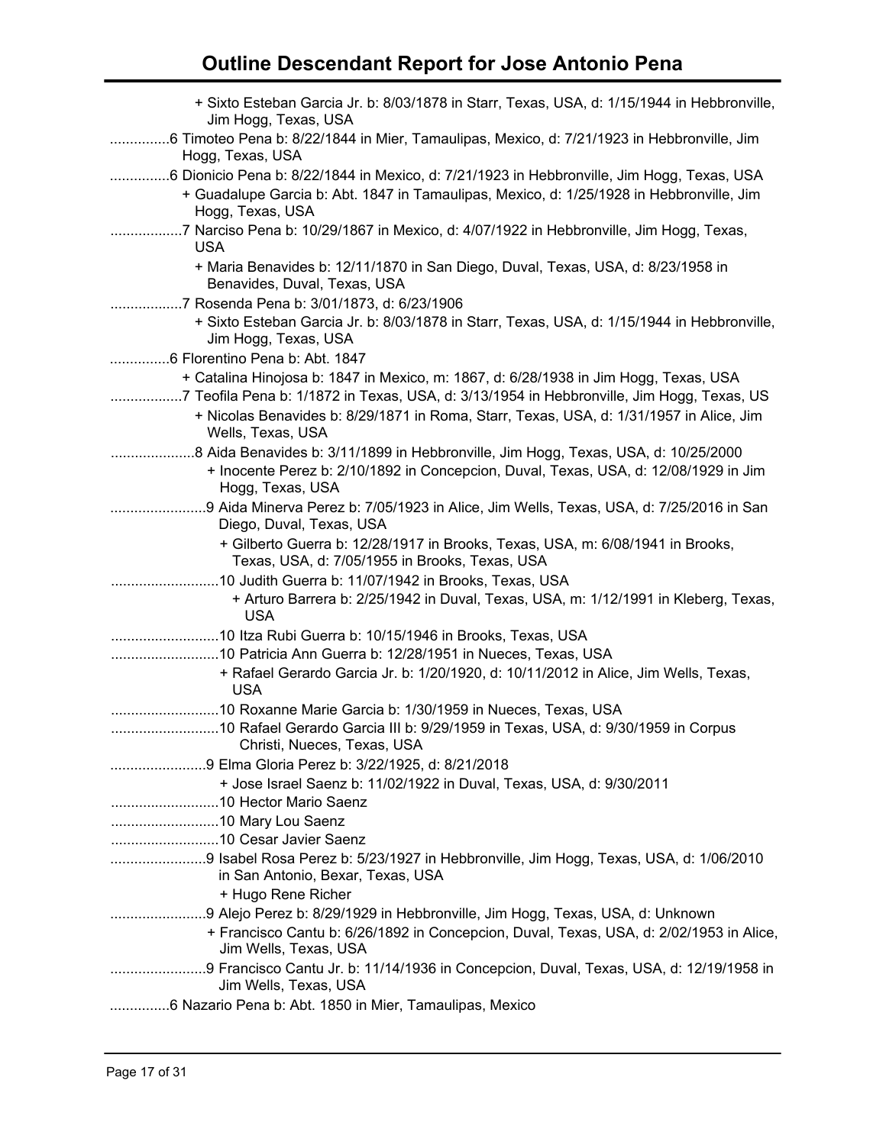| + Sixto Esteban Garcia Jr. b: 8/03/1878 in Starr, Texas, USA, d: 1/15/1944 in Hebbronville,<br>Jim Hogg, Texas, USA                                                               |
|-----------------------------------------------------------------------------------------------------------------------------------------------------------------------------------|
| 6 Timoteo Pena b: 8/22/1844 in Mier, Tamaulipas, Mexico, d: 7/21/1923 in Hebbronville, Jim<br>Hogg, Texas, USA                                                                    |
| 6 Dionicio Pena b: 8/22/1844 in Mexico, d: 7/21/1923 in Hebbronville, Jim Hogg, Texas, USA                                                                                        |
| + Guadalupe Garcia b: Abt. 1847 in Tamaulipas, Mexico, d: 1/25/1928 in Hebbronville, Jim<br>Hogg, Texas, USA                                                                      |
| 7 Narciso Pena b: 10/29/1867 in Mexico, d: 4/07/1922 in Hebbronville, Jim Hogg, Texas,<br><b>USA</b>                                                                              |
| + Maria Benavides b: 12/11/1870 in San Diego, Duval, Texas, USA, d: 8/23/1958 in<br>Benavides, Duval, Texas, USA                                                                  |
| 7 Rosenda Pena b: 3/01/1873, d: 6/23/1906                                                                                                                                         |
| + Sixto Esteban Garcia Jr. b: 8/03/1878 in Starr, Texas, USA, d: 1/15/1944 in Hebbronville,<br>Jim Hogg, Texas, USA                                                               |
| 6 Florentino Pena b: Abt. 1847                                                                                                                                                    |
| + Catalina Hinojosa b: 1847 in Mexico, m: 1867, d: 6/28/1938 in Jim Hogg, Texas, USA<br>7 Teofila Pena b: 1/1872 in Texas, USA, d: 3/13/1954 in Hebbronville, Jim Hogg, Texas, US |
| + Nicolas Benavides b: 8/29/1871 in Roma, Starr, Texas, USA, d: 1/31/1957 in Alice, Jim<br>Wells, Texas, USA                                                                      |
| 8 Aida Benavides b: 3/11/1899 in Hebbronville, Jim Hogg, Texas, USA, d: 10/25/2000                                                                                                |
| + Inocente Perez b: 2/10/1892 in Concepcion, Duval, Texas, USA, d: 12/08/1929 in Jim<br>Hogg, Texas, USA                                                                          |
| 9 Aida Minerva Perez b: 7/05/1923 in Alice, Jim Wells, Texas, USA, d: 7/25/2016 in San                                                                                            |
| Diego, Duval, Texas, USA                                                                                                                                                          |
| + Gilberto Guerra b: 12/28/1917 in Brooks, Texas, USA, m: 6/08/1941 in Brooks,<br>Texas, USA, d: 7/05/1955 in Brooks, Texas, USA                                                  |
|                                                                                                                                                                                   |
| + Arturo Barrera b: 2/25/1942 in Duval, Texas, USA, m: 1/12/1991 in Kleberg, Texas,<br><b>USA</b>                                                                                 |
| 10 Itza Rubi Guerra b: 10/15/1946 in Brooks, Texas, USA                                                                                                                           |
| 10 Patricia Ann Guerra b: 12/28/1951 in Nueces, Texas, USA                                                                                                                        |
| + Rafael Gerardo Garcia Jr. b: 1/20/1920, d: 10/11/2012 in Alice, Jim Wells, Texas,<br><b>USA</b>                                                                                 |
| 10 Roxanne Marie Garcia b: 1/30/1959 in Nueces, Texas, USA                                                                                                                        |
| 10 Rafael Gerardo Garcia III b: 9/29/1959 in Texas, USA, d: 9/30/1959 in Corpus<br>Christi, Nueces, Texas, USA                                                                    |
| 9 Elma Gloria Perez b: 3/22/1925, d: 8/21/2018                                                                                                                                    |
| + Jose Israel Saenz b: 11/02/1922 in Duval, Texas, USA, d: 9/30/2011                                                                                                              |
|                                                                                                                                                                                   |
|                                                                                                                                                                                   |
|                                                                                                                                                                                   |
| 9 Isabel Rosa Perez b: 5/23/1927 in Hebbronville, Jim Hogg, Texas, USA, d: 1/06/2010                                                                                              |
| in San Antonio, Bexar, Texas, USA                                                                                                                                                 |
| + Hugo Rene Richer                                                                                                                                                                |
| 9 Alejo Perez b: 8/29/1929 in Hebbronville, Jim Hogg, Texas, USA, d: Unknown                                                                                                      |
| + Francisco Cantu b: 6/26/1892 in Concepcion, Duval, Texas, USA, d: 2/02/1953 in Alice,<br>Jim Wells, Texas, USA                                                                  |
| 9 Francisco Cantu Jr. b: 11/14/1936 in Concepcion, Duval, Texas, USA, d: 12/19/1958 in<br>Jim Wells, Texas, USA                                                                   |
| 6 Nazario Pena b: Abt. 1850 in Mier, Tamaulipas, Mexico                                                                                                                           |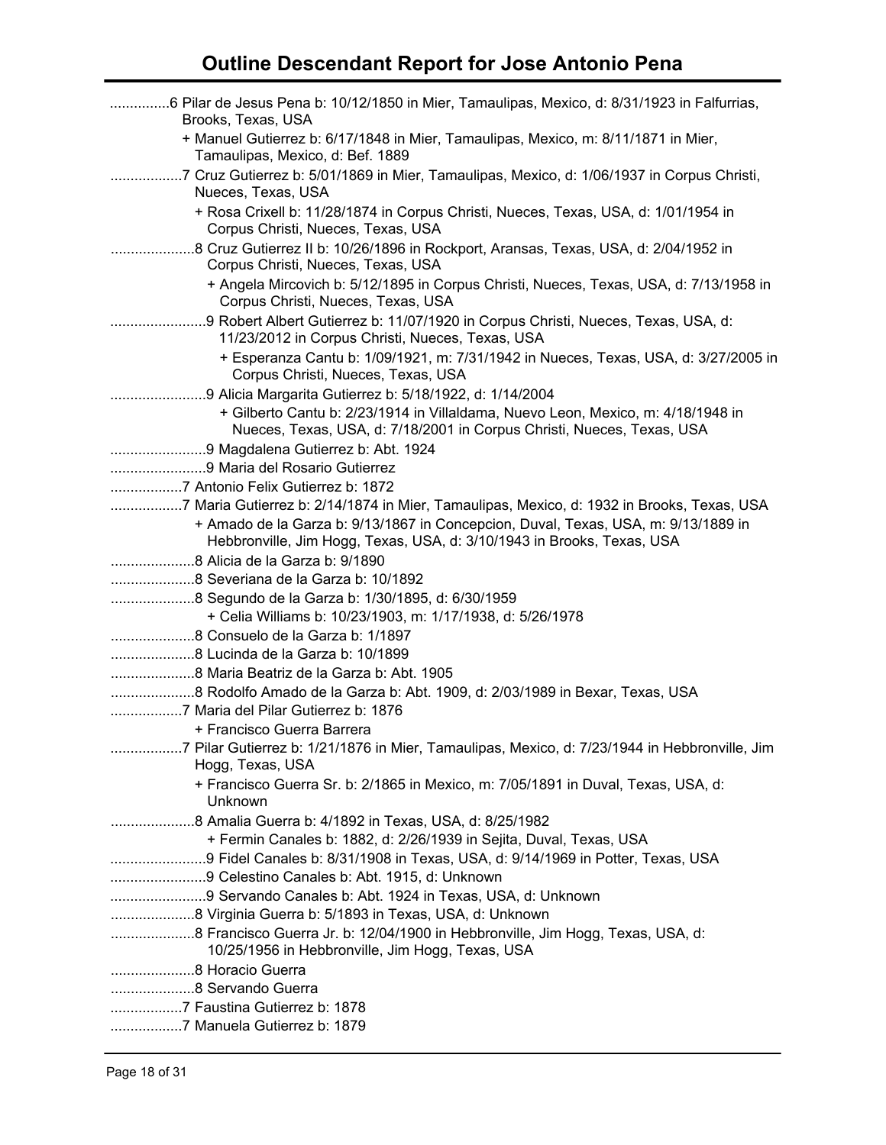| 6 Pilar de Jesus Pena b: 10/12/1850 in Mier, Tamaulipas, Mexico, d: 8/31/1923 in Falfurrias,<br>Brooks, Texas, USA                                           |
|--------------------------------------------------------------------------------------------------------------------------------------------------------------|
| + Manuel Gutierrez b: 6/17/1848 in Mier, Tamaulipas, Mexico, m: 8/11/1871 in Mier,<br>Tamaulipas, Mexico, d: Bef. 1889                                       |
| 7 Cruz Gutierrez b: 5/01/1869 in Mier, Tamaulipas, Mexico, d: 1/06/1937 in Corpus Christi,<br>Nueces, Texas, USA                                             |
| + Rosa Crixell b: 11/28/1874 in Corpus Christi, Nueces, Texas, USA, d: 1/01/1954 in<br>Corpus Christi, Nueces, Texas, USA                                    |
| 8 Cruz Gutierrez II b: 10/26/1896 in Rockport, Aransas, Texas, USA, d: 2/04/1952 in<br>Corpus Christi, Nueces, Texas, USA                                    |
| + Angela Mircovich b: 5/12/1895 in Corpus Christi, Nueces, Texas, USA, d: 7/13/1958 in<br>Corpus Christi, Nueces, Texas, USA                                 |
| 9 Robert Albert Gutierrez b: 11/07/1920 in Corpus Christi, Nueces, Texas, USA, d:<br>11/23/2012 in Corpus Christi, Nueces, Texas, USA                        |
| + Esperanza Cantu b: 1/09/1921, m: 7/31/1942 in Nueces, Texas, USA, d: 3/27/2005 in<br>Corpus Christi, Nueces, Texas, USA                                    |
|                                                                                                                                                              |
| + Gilberto Cantu b: 2/23/1914 in Villaldama, Nuevo Leon, Mexico, m: 4/18/1948 in<br>Nueces, Texas, USA, d: 7/18/2001 in Corpus Christi, Nueces, Texas, USA   |
|                                                                                                                                                              |
|                                                                                                                                                              |
| 7 Antonio Felix Gutierrez b: 1872                                                                                                                            |
| 7 Maria Gutierrez b: 2/14/1874 in Mier, Tamaulipas, Mexico, d: 1932 in Brooks, Texas, USA                                                                    |
| + Amado de la Garza b: 9/13/1867 in Concepcion, Duval, Texas, USA, m: 9/13/1889 in<br>Hebbronville, Jim Hogg, Texas, USA, d: 3/10/1943 in Brooks, Texas, USA |
|                                                                                                                                                              |
|                                                                                                                                                              |
|                                                                                                                                                              |
| + Celia Williams b: 10/23/1903, m: 1/17/1938, d: 5/26/1978                                                                                                   |
|                                                                                                                                                              |
| 8 Lucinda de la Garza b: 10/1899                                                                                                                             |
|                                                                                                                                                              |
| 8 Rodolfo Amado de la Garza b: Abt. 1909, d: 2/03/1989 in Bexar, Texas, USA                                                                                  |
| 7 Maria del Pilar Gutierrez b: 1876                                                                                                                          |
| + Francisco Guerra Barrera                                                                                                                                   |
| 7 Pilar Gutierrez b: 1/21/1876 in Mier, Tamaulipas, Mexico, d: 7/23/1944 in Hebbronville, Jim                                                                |
| Hogg, Texas, USA                                                                                                                                             |
| + Francisco Guerra Sr. b: 2/1865 in Mexico, m: 7/05/1891 in Duval, Texas, USA, d:<br>Unknown                                                                 |
|                                                                                                                                                              |
| + Fermin Canales b: 1882, d: 2/26/1939 in Sejita, Duval, Texas, USA                                                                                          |
| 9 Fidel Canales b: 8/31/1908 in Texas, USA, d: 9/14/1969 in Potter, Texas, USA                                                                               |
| 9 Celestino Canales b: Abt. 1915, d: Unknown                                                                                                                 |
| 9 Servando Canales b: Abt. 1924 in Texas, USA, d: Unknown                                                                                                    |
|                                                                                                                                                              |
| 8 Francisco Guerra Jr. b: 12/04/1900 in Hebbronville, Jim Hogg, Texas, USA, d:                                                                               |
| 10/25/1956 in Hebbronville, Jim Hogg, Texas, USA                                                                                                             |
|                                                                                                                                                              |
|                                                                                                                                                              |
| 7 Faustina Gutierrez b: 1878                                                                                                                                 |
| 7 Manuela Gutierrez b: 1879                                                                                                                                  |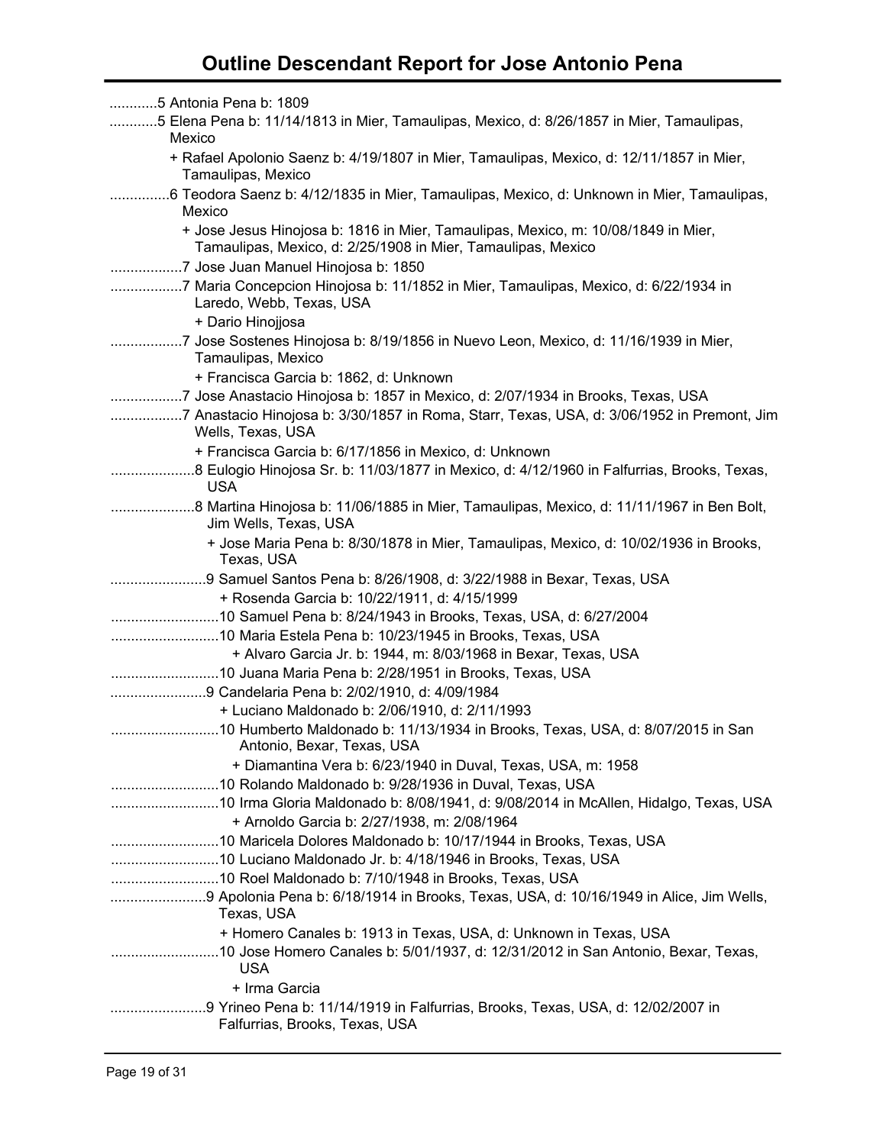| 5 Antonia Pena b: 1809                                                                                                                            |
|---------------------------------------------------------------------------------------------------------------------------------------------------|
| 5 Elena Pena b: 11/14/1813 in Mier, Tamaulipas, Mexico, d: 8/26/1857 in Mier, Tamaulipas,<br>Mexico                                               |
| + Rafael Apolonio Saenz b: 4/19/1807 in Mier, Tamaulipas, Mexico, d: 12/11/1857 in Mier,<br>Tamaulipas, Mexico                                    |
| 6 Teodora Saenz b: 4/12/1835 in Mier, Tamaulipas, Mexico, d: Unknown in Mier, Tamaulipas,<br>Mexico                                               |
| + Jose Jesus Hinojosa b: 1816 in Mier, Tamaulipas, Mexico, m: 10/08/1849 in Mier,<br>Tamaulipas, Mexico, d: 2/25/1908 in Mier, Tamaulipas, Mexico |
| 7 Jose Juan Manuel Hinojosa b: 1850                                                                                                               |
| 7 Maria Concepcion Hinojosa b: 11/1852 in Mier, Tamaulipas, Mexico, d: 6/22/1934 in<br>Laredo, Webb, Texas, USA                                   |
| + Dario Hinojjosa                                                                                                                                 |
| 7 Jose Sostenes Hinojosa b: 8/19/1856 in Nuevo Leon, Mexico, d: 11/16/1939 in Mier,<br>Tamaulipas, Mexico                                         |
| + Francisca Garcia b: 1862, d: Unknown                                                                                                            |
| 7 Jose Anastacio Hinojosa b: 1857 in Mexico, d: 2/07/1934 in Brooks, Texas, USA                                                                   |
| 7 Anastacio Hinojosa b: 3/30/1857 in Roma, Starr, Texas, USA, d: 3/06/1952 in Premont, Jim<br>Wells, Texas, USA                                   |
| + Francisca Garcia b: 6/17/1856 in Mexico, d: Unknown                                                                                             |
| 8 Eulogio Hinojosa Sr. b: 11/03/1877 in Mexico, d: 4/12/1960 in Falfurrias, Brooks, Texas,<br><b>USA</b>                                          |
| Jim Wells, Texas, USA                                                                                                                             |
| + Jose Maria Pena b: 8/30/1878 in Mier, Tamaulipas, Mexico, d: 10/02/1936 in Brooks,<br>Texas, USA                                                |
|                                                                                                                                                   |
| 9 Samuel Santos Pena b: 8/26/1908, d: 3/22/1988 in Bexar, Texas, USA                                                                              |
| + Rosenda Garcia b: 10/22/1911, d: 4/15/1999                                                                                                      |
| 10 Samuel Pena b: 8/24/1943 in Brooks, Texas, USA, d: 6/27/2004                                                                                   |
| 10 Maria Estela Pena b: 10/23/1945 in Brooks, Texas, USA                                                                                          |
| + Alvaro Garcia Jr. b: 1944, m: 8/03/1968 in Bexar, Texas, USA                                                                                    |
| 10 Juana Maria Pena b: 2/28/1951 in Brooks, Texas, USA                                                                                            |
| 9 Candelaria Pena b: 2/02/1910, d: 4/09/1984                                                                                                      |
| + Luciano Maldonado b: 2/06/1910, d: 2/11/1993                                                                                                    |
| Antonio, Bexar, Texas, USA                                                                                                                        |
| + Diamantina Vera b: 6/23/1940 in Duval, Texas, USA, m: 1958                                                                                      |
|                                                                                                                                                   |
|                                                                                                                                                   |
| + Arnoldo Garcia b: 2/27/1938, m: 2/08/1964                                                                                                       |
|                                                                                                                                                   |
|                                                                                                                                                   |
|                                                                                                                                                   |
| Texas, USA                                                                                                                                        |
| + Homero Canales b: 1913 in Texas, USA, d: Unknown in Texas, USA                                                                                  |
| <b>USA</b>                                                                                                                                        |
| + Irma Garcia<br>9 Yrineo Pena b: 11/14/1919 in Falfurrias, Brooks, Texas, USA, d: 12/02/2007 in                                                  |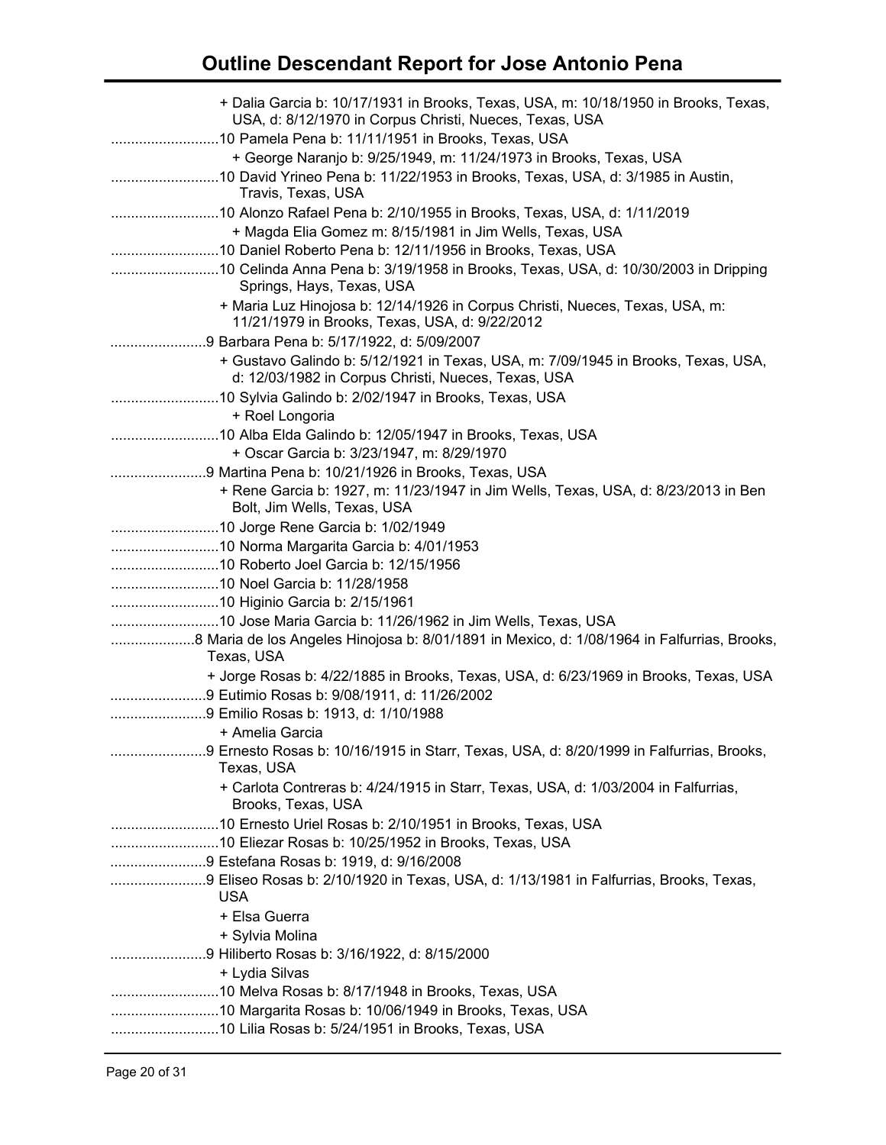| + Dalia Garcia b: 10/17/1931 in Brooks, Texas, USA, m: 10/18/1950 in Brooks, Texas,                                                      |
|------------------------------------------------------------------------------------------------------------------------------------------|
| USA, d: 8/12/1970 in Corpus Christi, Nueces, Texas, USA                                                                                  |
| 10 Pamela Pena b: 11/11/1951 in Brooks, Texas, USA                                                                                       |
| + George Naranjo b: 9/25/1949, m: 11/24/1973 in Brooks, Texas, USA                                                                       |
| Travis, Texas, USA                                                                                                                       |
| 10 Alonzo Rafael Pena b: 2/10/1955 in Brooks, Texas, USA, d: 1/11/2019<br>+ Magda Elia Gomez m: 8/15/1981 in Jim Wells, Texas, USA       |
| 10 Daniel Roberto Pena b: 12/11/1956 in Brooks, Texas, USA                                                                               |
| 10 Celinda Anna Pena b: 3/19/1958 in Brooks, Texas, USA, d: 10/30/2003 in Dripping<br>Springs, Hays, Texas, USA                          |
| + Maria Luz Hinojosa b: 12/14/1926 in Corpus Christi, Nueces, Texas, USA, m:<br>11/21/1979 in Brooks, Texas, USA, d: 9/22/2012           |
|                                                                                                                                          |
| + Gustavo Galindo b: 5/12/1921 in Texas, USA, m: 7/09/1945 in Brooks, Texas, USA,<br>d: 12/03/1982 in Corpus Christi, Nueces, Texas, USA |
|                                                                                                                                          |
| + Roel Longoria                                                                                                                          |
|                                                                                                                                          |
| + Oscar Garcia b: 3/23/1947, m: 8/29/1970                                                                                                |
| 9 Martina Pena b: 10/21/1926 in Brooks, Texas, USA                                                                                       |
| + Rene Garcia b: 1927, m: 11/23/1947 in Jim Wells, Texas, USA, d: 8/23/2013 in Ben<br>Bolt, Jim Wells, Texas, USA                        |
|                                                                                                                                          |
|                                                                                                                                          |
|                                                                                                                                          |
|                                                                                                                                          |
|                                                                                                                                          |
| 10 Jose Maria Garcia b: 11/26/1962 in Jim Wells, Texas, USA                                                                              |
| Texas, USA                                                                                                                               |
| + Jorge Rosas b: 4/22/1885 in Brooks, Texas, USA, d: 6/23/1969 in Brooks, Texas, USA                                                     |
| 9 Eutimio Rosas b: 9/08/1911, d: 11/26/2002                                                                                              |
| 9 Emilio Rosas b: 1913, d: 1/10/1988                                                                                                     |
| and the Amelia Garcia                                                                                                                    |
| 9 Ernesto Rosas b: 10/16/1915 in Starr, Texas, USA, d: 8/20/1999 in Falfurrias, Brooks,<br>Texas, USA                                    |
| + Carlota Contreras b: 4/24/1915 in Starr, Texas, USA, d: 1/03/2004 in Falfurrias,<br>Brooks, Texas, USA                                 |
|                                                                                                                                          |
|                                                                                                                                          |
| 9 Estefana Rosas b: 1919, d: 9/16/2008                                                                                                   |
| 9 Eliseo Rosas b: 2/10/1920 in Texas, USA, d: 1/13/1981 in Falfurrias, Brooks, Texas,<br><b>USA</b>                                      |
| + Elsa Guerra                                                                                                                            |
| + Sylvia Molina                                                                                                                          |
| 9 Hiliberto Rosas b: 3/16/1922, d: 8/15/2000                                                                                             |
| + Lydia Silvas                                                                                                                           |
|                                                                                                                                          |
|                                                                                                                                          |
|                                                                                                                                          |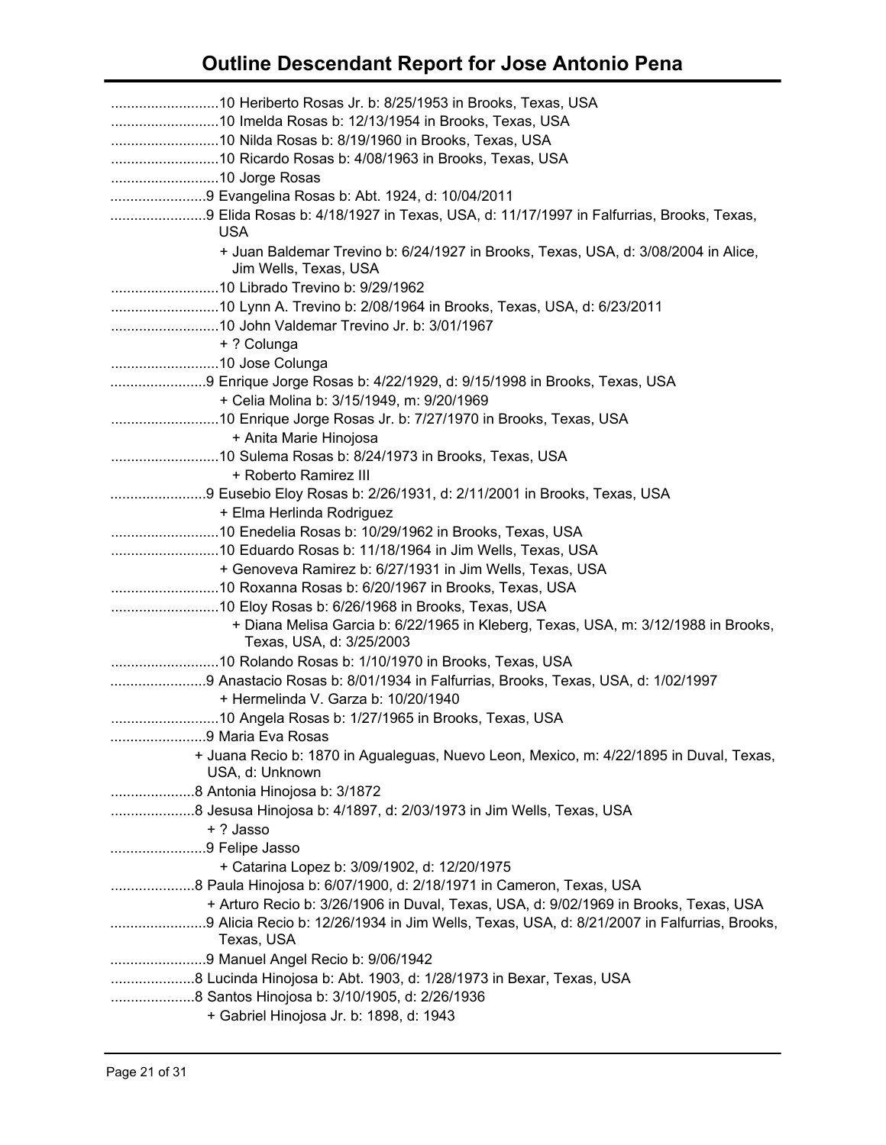| 9 Evangelina Rosas b: Abt. 1924, d: 10/04/2011                                                              |
|-------------------------------------------------------------------------------------------------------------|
| 9 Elida Rosas b: 4/18/1927 in Texas, USA, d: 11/17/1997 in Falfurrias, Brooks, Texas,<br><b>USA</b>         |
| + Juan Baldemar Trevino b: 6/24/1927 in Brooks, Texas, USA, d: 3/08/2004 in Alice,<br>Jim Wells, Texas, USA |
|                                                                                                             |
|                                                                                                             |
|                                                                                                             |
| + ? Colunga                                                                                                 |
|                                                                                                             |
| 9 Enrique Jorge Rosas b: 4/22/1929, d: 9/15/1998 in Brooks, Texas, USA                                      |
| + Celia Molina b: 3/15/1949, m: 9/20/1969                                                                   |
|                                                                                                             |
| + Anita Marie Hinojosa                                                                                      |
|                                                                                                             |
| + Roberto Ramirez III                                                                                       |
|                                                                                                             |
| + Elma Herlinda Rodriguez                                                                                   |
|                                                                                                             |
|                                                                                                             |
| + Genoveva Ramirez b: 6/27/1931 in Jim Wells, Texas, USA                                                    |
|                                                                                                             |
|                                                                                                             |
| + Diana Melisa Garcia b: 6/22/1965 in Kleberg, Texas, USA, m: 3/12/1988 in Brooks,                          |
| Texas, USA, d: 3/25/2003                                                                                    |
|                                                                                                             |
|                                                                                                             |
| + Hermelinda V. Garza b: 10/20/1940                                                                         |
|                                                                                                             |
| 9 Maria Eva Rosas                                                                                           |
| + Juana Recio b: 1870 in Agualeguas, Nuevo Leon, Mexico, m: 4/22/1895 in Duval, Texas,<br>USA, d: Unknown   |
|                                                                                                             |
| 8 Jesusa Hinojosa b: 4/1897, d: 2/03/1973 in Jim Wells, Texas, USA                                          |
| + ? Jasso                                                                                                   |
| 9 Felipe Jasso                                                                                              |
| + Catarina Lopez b: 3/09/1902, d: 12/20/1975                                                                |
|                                                                                                             |
| + Arturo Recio b: 3/26/1906 in Duval, Texas, USA, d: 9/02/1969 in Brooks, Texas, USA                        |
| Texas, USA                                                                                                  |
|                                                                                                             |
| 8 Lucinda Hinojosa b: Abt. 1903, d: 1/28/1973 in Bexar, Texas, USA                                          |
| 8 Santos Hinojosa b: 3/10/1905, d: 2/26/1936                                                                |
|                                                                                                             |
| + Gabriel Hinojosa Jr. b: 1898, d: 1943                                                                     |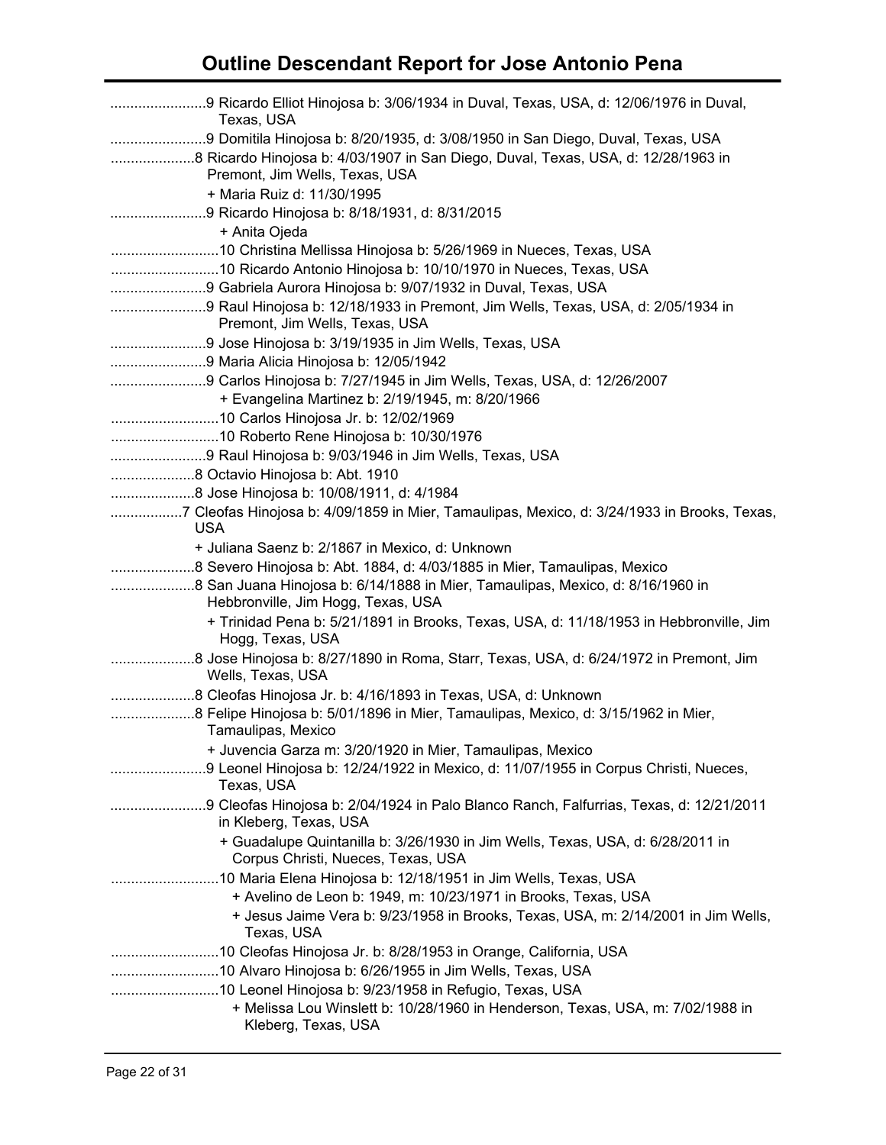| Texas, USA                                                                                                           |  |
|----------------------------------------------------------------------------------------------------------------------|--|
| 9 Domitila Hinojosa b: 8/20/1935, d: 3/08/1950 in San Diego, Duval, Texas, USA                                       |  |
| 8 Ricardo Hinojosa b: 4/03/1907 in San Diego, Duval, Texas, USA, d: 12/28/1963 in                                    |  |
| Premont, Jim Wells, Texas, USA                                                                                       |  |
| + Maria Ruiz d: 11/30/1995                                                                                           |  |
| 9 Ricardo Hinojosa b: 8/18/1931, d: 8/31/2015                                                                        |  |
| + Anita Ojeda                                                                                                        |  |
|                                                                                                                      |  |
|                                                                                                                      |  |
|                                                                                                                      |  |
|                                                                                                                      |  |
| Premont, Jim Wells, Texas, USA                                                                                       |  |
| 9 Jose Hinojosa b: 3/19/1935 in Jim Wells, Texas, USA                                                                |  |
|                                                                                                                      |  |
| + Evangelina Martinez b: 2/19/1945, m: 8/20/1966                                                                     |  |
|                                                                                                                      |  |
|                                                                                                                      |  |
|                                                                                                                      |  |
| 8 Octavio Hinojosa b: Abt. 1910                                                                                      |  |
| 8 Jose Hinojosa b: 10/08/1911, d: 4/1984                                                                             |  |
| 7 Cleofas Hinojosa b: 4/09/1859 in Mier, Tamaulipas, Mexico, d: 3/24/1933 in Brooks, Texas,                          |  |
| <b>USA</b>                                                                                                           |  |
| + Juliana Saenz b: 2/1867 in Mexico, d: Unknown                                                                      |  |
|                                                                                                                      |  |
|                                                                                                                      |  |
| Hebbronville, Jim Hogg, Texas, USA                                                                                   |  |
| + Trinidad Pena b: 5/21/1891 in Brooks, Texas, USA, d: 11/18/1953 in Hebbronville, Jim                               |  |
| Hogg, Texas, USA                                                                                                     |  |
| Wells, Texas, USA                                                                                                    |  |
|                                                                                                                      |  |
| 8 Felipe Hinojosa b: 5/01/1896 in Mier, Tamaulipas, Mexico, d: 3/15/1962 in Mier,                                    |  |
| Tamaulipas, Mexico                                                                                                   |  |
| + Juvencia Garza m: 3/20/1920 in Mier, Tamaulipas, Mexico                                                            |  |
| 9 Leonel Hinojosa b: 12/24/1922 in Mexico, d: 11/07/1955 in Corpus Christi, Nueces,                                  |  |
| Texas, USA                                                                                                           |  |
| 9 Cleofas Hinojosa b: 2/04/1924 in Palo Blanco Ranch, Falfurrias, Texas, d: 12/21/2011<br>in Kleberg, Texas, USA     |  |
| + Guadalupe Quintanilla b: 3/26/1930 in Jim Wells, Texas, USA, d: 6/28/2011 in<br>Corpus Christi, Nueces, Texas, USA |  |
| 10 Maria Elena Hinojosa b: 12/18/1951 in Jim Wells, Texas, USA                                                       |  |
| + Avelino de Leon b: 1949, m: 10/23/1971 in Brooks, Texas, USA                                                       |  |
| + Jesus Jaime Vera b: 9/23/1958 in Brooks, Texas, USA, m: 2/14/2001 in Jim Wells,<br>Texas, USA                      |  |
|                                                                                                                      |  |
|                                                                                                                      |  |
|                                                                                                                      |  |
| + Melissa Lou Winslett b: 10/28/1960 in Henderson, Texas, USA, m: 7/02/1988 in                                       |  |
| Kleberg, Texas, USA                                                                                                  |  |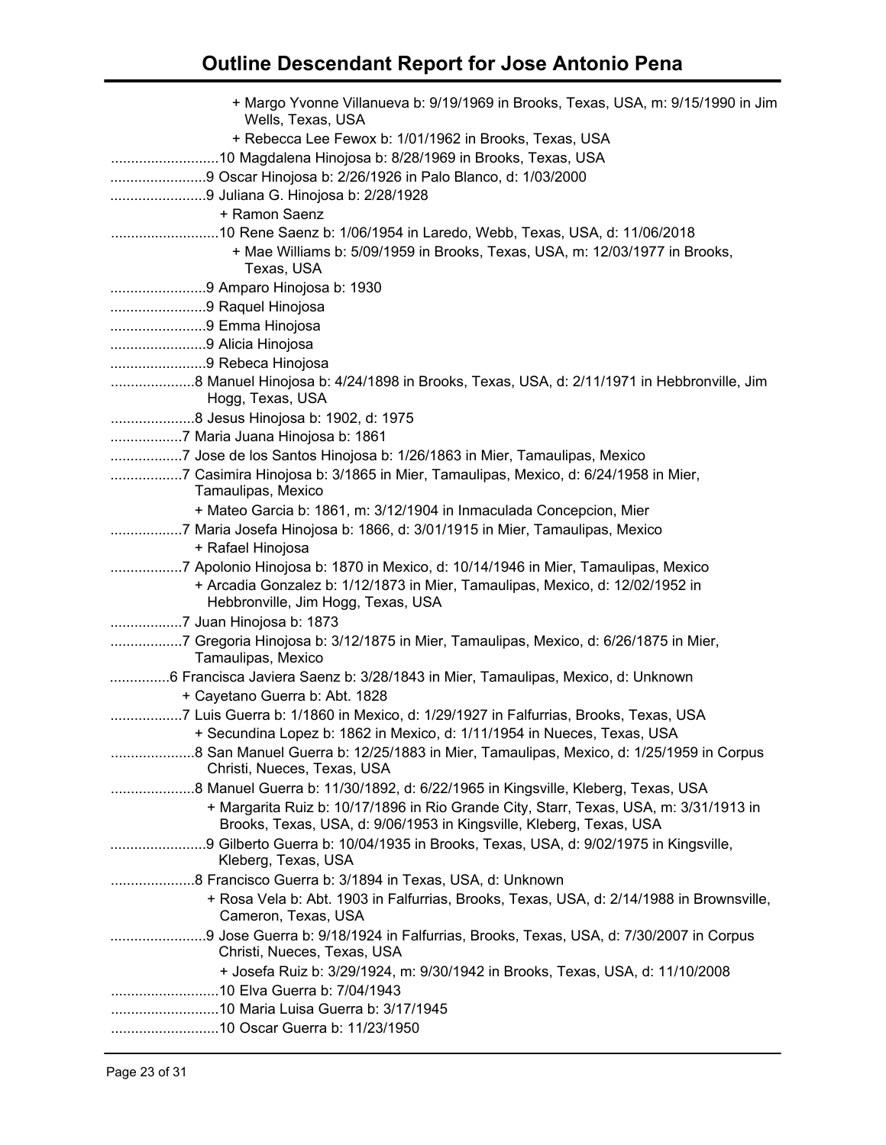| + Margo Yvonne Villanueva b: 9/19/1969 in Brooks, Texas, USA, m: 9/15/1990 in Jim<br>Wells, Texas, USA                                                       |
|--------------------------------------------------------------------------------------------------------------------------------------------------------------|
| + Rebecca Lee Fewox b: 1/01/1962 in Brooks, Texas, USA                                                                                                       |
|                                                                                                                                                              |
|                                                                                                                                                              |
| 9 Juliana G. Hinojosa b: 2/28/1928                                                                                                                           |
| + Ramon Saenz                                                                                                                                                |
|                                                                                                                                                              |
| + Mae Williams b: 5/09/1959 in Brooks, Texas, USA, m: 12/03/1977 in Brooks,                                                                                  |
| Texas, USA                                                                                                                                                   |
|                                                                                                                                                              |
| 9 Raquel Hinojosa                                                                                                                                            |
| 9 Emma Hinojosa                                                                                                                                              |
| 9 Alicia Hinojosa                                                                                                                                            |
| 9 Rebeca Hinojosa                                                                                                                                            |
| Hogg, Texas, USA                                                                                                                                             |
| 8 Jesus Hinojosa b: 1902, d: 1975                                                                                                                            |
| 7 Maria Juana Hinojosa b: 1861                                                                                                                               |
| 7 Jose de los Santos Hinojosa b: 1/26/1863 in Mier, Tamaulipas, Mexico                                                                                       |
| 7 Casimira Hinojosa b: 3/1865 in Mier, Tamaulipas, Mexico, d: 6/24/1958 in Mier,<br>Tamaulipas, Mexico                                                       |
| + Mateo Garcia b: 1861, m: 3/12/1904 in Inmaculada Concepcion, Mier                                                                                          |
| 7 Maria Josefa Hinojosa b: 1866, d: 3/01/1915 in Mier, Tamaulipas, Mexico<br>+ Rafael Hinojosa                                                               |
| 7 Apolonio Hinojosa b: 1870 in Mexico, d: 10/14/1946 in Mier, Tamaulipas, Mexico                                                                             |
| + Arcadia Gonzalez b: 1/12/1873 in Mier, Tamaulipas, Mexico, d: 12/02/1952 in<br>Hebbronville, Jim Hogg, Texas, USA                                          |
| 7 Juan Hinojosa b: 1873                                                                                                                                      |
| 7 Gregoria Hinojosa b: 3/12/1875 in Mier, Tamaulipas, Mexico, d: 6/26/1875 in Mier,<br>Tamaulipas, Mexico                                                    |
| 6 Francisca Javiera Saenz b: 3/28/1843 in Mier, Tamaulipas, Mexico, d: Unknown                                                                               |
| + Cayetano Guerra b: Abt. 1828                                                                                                                               |
| 7 Luis Guerra b: 1/1860 in Mexico, d: 1/29/1927 in Falfurrias, Brooks, Texas, USA                                                                            |
| + Secundina Lopez b: 1862 in Mexico, d: 1/11/1954 in Nueces, Texas, USA                                                                                      |
| Christi, Nueces, Texas, USA                                                                                                                                  |
| 8 Manuel Guerra b: 11/30/1892, d: 6/22/1965 in Kingsville, Kleberg, Texas, USA                                                                               |
| + Margarita Ruiz b: 10/17/1896 in Rio Grande City, Starr, Texas, USA, m: 3/31/1913 in<br>Brooks, Texas, USA, d: 9/06/1953 in Kingsville, Kleberg, Texas, USA |
| Kleberg, Texas, USA                                                                                                                                          |
| 8 Francisco Guerra b: 3/1894 in Texas, USA, d: Unknown                                                                                                       |
| + Rosa Vela b: Abt. 1903 in Falfurrias, Brooks, Texas, USA, d: 2/14/1988 in Brownsville,<br>Cameron, Texas, USA                                              |
| Christi, Nueces, Texas, USA                                                                                                                                  |
| + Josefa Ruiz b: 3/29/1924, m: 9/30/1942 in Brooks, Texas, USA, d: 11/10/2008                                                                                |
|                                                                                                                                                              |
|                                                                                                                                                              |
|                                                                                                                                                              |
|                                                                                                                                                              |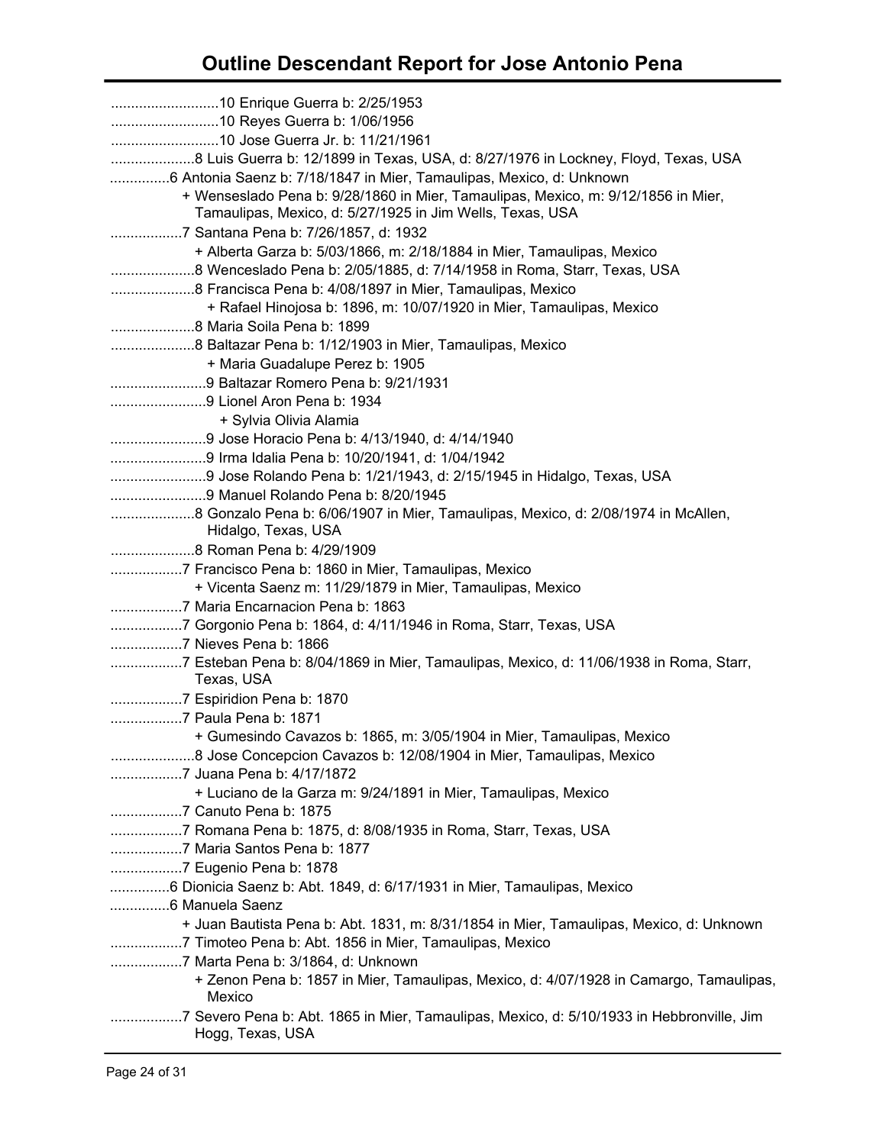| 8 Luis Guerra b: 12/1899 in Texas, USA, d: 8/27/1976 in Lockney, Floyd, Texas, USA                   |
|------------------------------------------------------------------------------------------------------|
| 6 Antonia Saenz b: 7/18/1847 in Mier, Tamaulipas, Mexico, d: Unknown                                 |
| + Wenseslado Pena b: 9/28/1860 in Mier, Tamaulipas, Mexico, m: 9/12/1856 in Mier,                    |
| Tamaulipas, Mexico, d: 5/27/1925 in Jim Wells, Texas, USA                                            |
| 7 Santana Pena b: 7/26/1857, d: 1932                                                                 |
| + Alberta Garza b: 5/03/1866, m: 2/18/1884 in Mier, Tamaulipas, Mexico                               |
|                                                                                                      |
|                                                                                                      |
| + Rafael Hinojosa b: 1896, m: 10/07/1920 in Mier, Tamaulipas, Mexico                                 |
|                                                                                                      |
|                                                                                                      |
| + Maria Guadalupe Perez b: 1905                                                                      |
|                                                                                                      |
| 9 Lionel Aron Pena b: 1934                                                                           |
| + Sylvia Olivia Alamia                                                                               |
| 9 Jose Horacio Pena b: 4/13/1940, d: 4/14/1940                                                       |
| 9 Irma Idalia Pena b: 10/20/1941, d: 1/04/1942                                                       |
|                                                                                                      |
|                                                                                                      |
| Hidalgo, Texas, USA                                                                                  |
|                                                                                                      |
| 7 Francisco Pena b: 1860 in Mier, Tamaulipas, Mexico                                                 |
| + Vicenta Saenz m: 11/29/1879 in Mier, Tamaulipas, Mexico                                            |
|                                                                                                      |
| 7 Gorgonio Pena b: 1864, d: 4/11/1946 in Roma, Starr, Texas, USA                                     |
|                                                                                                      |
| 7 Esteban Pena b: 8/04/1869 in Mier, Tamaulipas, Mexico, d: 11/06/1938 in Roma, Starr,<br>Texas, USA |
|                                                                                                      |
| 7 Paula Pena b: 1871                                                                                 |
| + Gumesindo Cavazos b: 1865, m: 3/05/1904 in Mier, Tamaulipas, Mexico                                |
|                                                                                                      |
| 7 Juana Pena b: 4/17/1872                                                                            |
| + Luciano de la Garza m: 9/24/1891 in Mier, Tamaulipas, Mexico                                       |
| 7 Canuto Pena b: 1875                                                                                |
| 7 Romana Pena b: 1875, d: 8/08/1935 in Roma, Starr, Texas, USA                                       |
| 7 Maria Santos Pena b: 1877                                                                          |
|                                                                                                      |
| 6 Dionicia Saenz b: Abt. 1849, d: 6/17/1931 in Mier, Tamaulipas, Mexico                              |
| + Juan Bautista Pena b: Abt. 1831, m: 8/31/1854 in Mier, Tamaulipas, Mexico, d: Unknown              |
| 7 Timoteo Pena b: Abt. 1856 in Mier, Tamaulipas, Mexico                                              |
| 7 Marta Pena b: 3/1864, d: Unknown                                                                   |
| + Zenon Pena b: 1857 in Mier, Tamaulipas, Mexico, d: 4/07/1928 in Camargo, Tamaulipas,               |
| Mexico                                                                                               |
| Hogg, Texas, USA                                                                                     |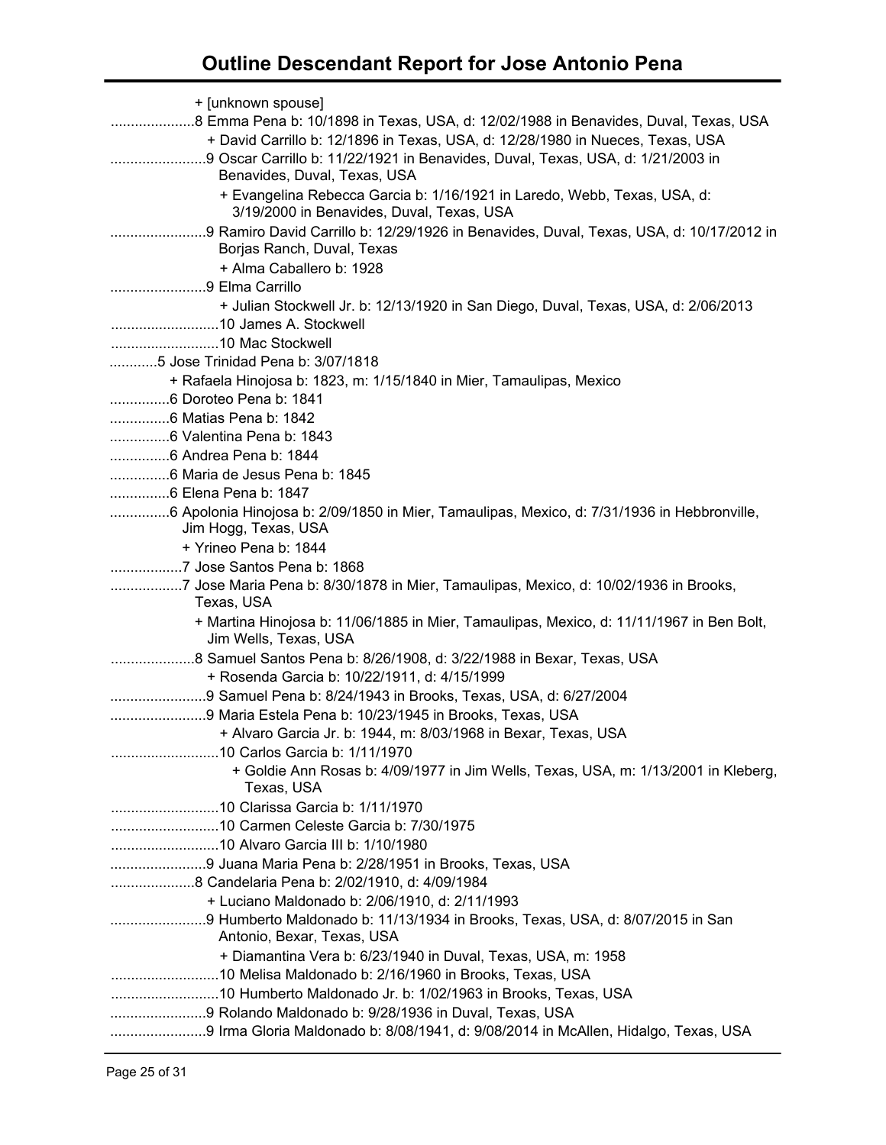| + [unknown spouse]                                                                          |
|---------------------------------------------------------------------------------------------|
| 8 Emma Pena b: 10/1898 in Texas, USA, d: 12/02/1988 in Benavides, Duval, Texas, USA         |
| + David Carrillo b: 12/1896 in Texas, USA, d: 12/28/1980 in Nueces, Texas, USA              |
| 9 Oscar Carrillo b: 11/22/1921 in Benavides, Duval, Texas, USA, d: 1/21/2003 in             |
| Benavides, Duval, Texas, USA                                                                |
| + Evangelina Rebecca Garcia b: 1/16/1921 in Laredo, Webb, Texas, USA, d:                    |
| 3/19/2000 in Benavides, Duval, Texas, USA                                                   |
| 9 Ramiro David Carrillo b: 12/29/1926 in Benavides, Duval, Texas, USA, d: 10/17/2012 in     |
| Borjas Ranch, Duval, Texas                                                                  |
| + Alma Caballero b: 1928                                                                    |
| 9 Elma Carrillo                                                                             |
| + Julian Stockwell Jr. b: 12/13/1920 in San Diego, Duval, Texas, USA, d: 2/06/2013          |
|                                                                                             |
|                                                                                             |
|                                                                                             |
| + Rafaela Hinojosa b: 1823, m: 1/15/1840 in Mier, Tamaulipas, Mexico                        |
| 6 Doroteo Pena b: 1841                                                                      |
| 6 Matias Pena b: 1842                                                                       |
| 6 Valentina Pena b: 1843                                                                    |
| 6 Andrea Pena b: 1844                                                                       |
| 6 Maria de Jesus Pena b: 1845                                                               |
| 6 Elena Pena b: 1847                                                                        |
| 6 Apolonia Hinojosa b: 2/09/1850 in Mier, Tamaulipas, Mexico, d: 7/31/1936 in Hebbronville, |
| Jim Hogg, Texas, USA                                                                        |
| + Yrineo Pena b: 1844                                                                       |
| 7 Jose Santos Pena b: 1868                                                                  |
| 7 Jose Maria Pena b: 8/30/1878 in Mier, Tamaulipas, Mexico, d: 10/02/1936 in Brooks,        |
| Texas, USA                                                                                  |
| + Martina Hinojosa b: 11/06/1885 in Mier, Tamaulipas, Mexico, d: 11/11/1967 in Ben Bolt,    |
| Jim Wells, Texas, USA                                                                       |
| 8 Samuel Santos Pena b: 8/26/1908, d: 3/22/1988 in Bexar, Texas, USA                        |
| + Rosenda Garcia b: 10/22/1911, d: 4/15/1999                                                |
| 9 Samuel Pena b: 8/24/1943 in Brooks, Texas, USA, d: 6/27/2004                              |
| 9 Maria Estela Pena b: 10/23/1945 in Brooks, Texas, USA                                     |
| + Alvaro Garcia Jr. b: 1944, m: 8/03/1968 in Bexar, Texas, USA                              |
|                                                                                             |
| + Goldie Ann Rosas b: 4/09/1977 in Jim Wells, Texas, USA, m: 1/13/2001 in Kleberg,          |
| Texas, USA                                                                                  |
| 10 Clarissa Garcia b: 1/11/1970                                                             |
| 10 Carmen Celeste Garcia b: 7/30/1975                                                       |
|                                                                                             |
| 9 Juana Maria Pena b: 2/28/1951 in Brooks, Texas, USA                                       |
| 8 Candelaria Pena b: 2/02/1910, d: 4/09/1984                                                |
| + Luciano Maldonado b: 2/06/1910, d: 2/11/1993                                              |
| 9 Humberto Maldonado b: 11/13/1934 in Brooks, Texas, USA, d: 8/07/2015 in San               |
| Antonio, Bexar, Texas, USA                                                                  |
| + Diamantina Vera b: 6/23/1940 in Duval, Texas, USA, m: 1958                                |
|                                                                                             |
| 10 Humberto Maldonado Jr. b: 1/02/1963 in Brooks, Texas, USA                                |
| 9 Rolando Maldonado b: 9/28/1936 in Duval, Texas, USA                                       |
| 9 Irma Gloria Maldonado b: 8/08/1941, d: 9/08/2014 in McAllen, Hidalgo, Texas, USA          |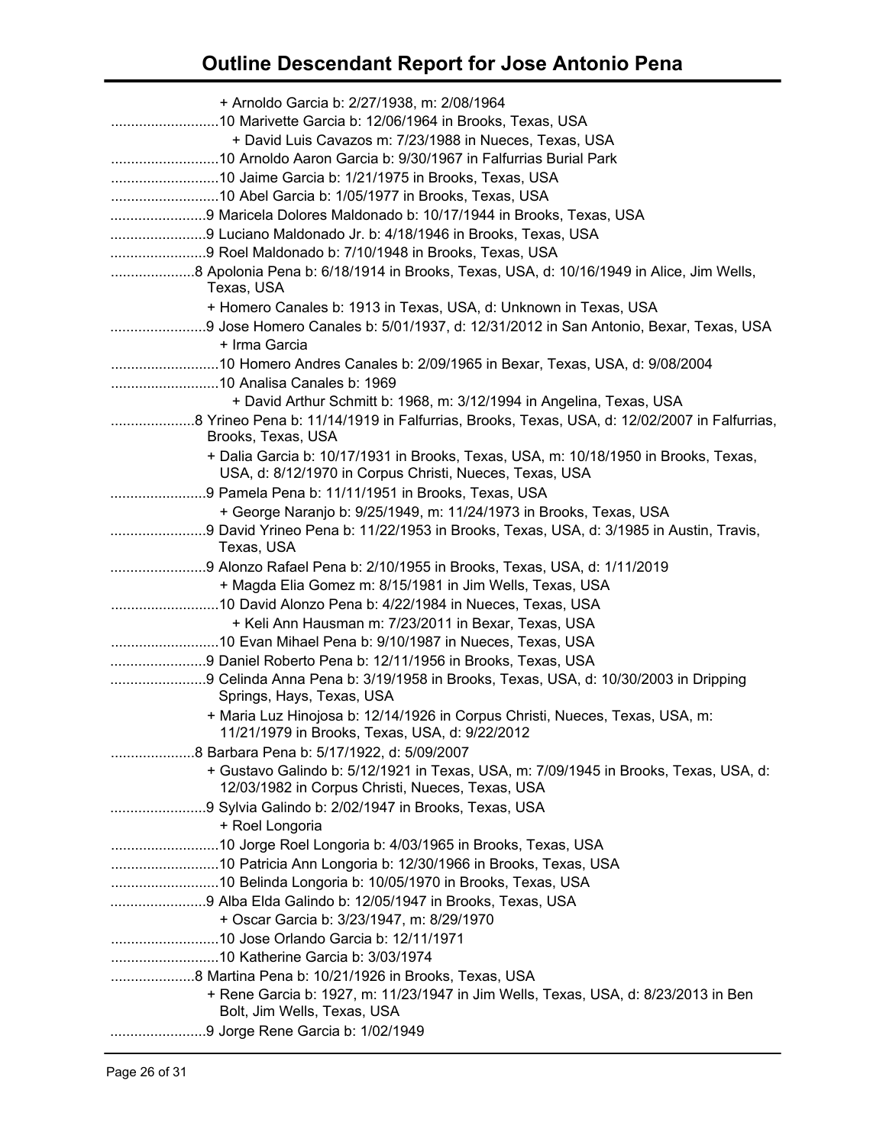| + Arnoldo Garcia b: 2/27/1938, m: 2/08/1964                                                                                                    |
|------------------------------------------------------------------------------------------------------------------------------------------------|
|                                                                                                                                                |
| + David Luis Cavazos m: 7/23/1988 in Nueces, Texas, USA                                                                                        |
|                                                                                                                                                |
|                                                                                                                                                |
|                                                                                                                                                |
|                                                                                                                                                |
|                                                                                                                                                |
|                                                                                                                                                |
|                                                                                                                                                |
| Texas, USA                                                                                                                                     |
| + Homero Canales b: 1913 in Texas, USA, d: Unknown in Texas, USA                                                                               |
| 9 Jose Homero Canales b: 5/01/1937, d: 12/31/2012 in San Antonio, Bexar, Texas, USA                                                            |
| + Irma Garcia                                                                                                                                  |
| 10 Homero Andres Canales b: 2/09/1965 in Bexar, Texas, USA, d: 9/08/2004                                                                       |
|                                                                                                                                                |
| + David Arthur Schmitt b: 1968, m: 3/12/1994 in Angelina, Texas, USA                                                                           |
|                                                                                                                                                |
| Brooks, Texas, USA                                                                                                                             |
| + Dalia Garcia b: 10/17/1931 in Brooks, Texas, USA, m: 10/18/1950 in Brooks, Texas,<br>USA, d: 8/12/1970 in Corpus Christi, Nueces, Texas, USA |
| 9 Pamela Pena b: 11/11/1951 in Brooks, Texas, USA                                                                                              |
| + George Naranjo b: 9/25/1949, m: 11/24/1973 in Brooks, Texas, USA                                                                             |
| 9 David Yrineo Pena b: 11/22/1953 in Brooks, Texas, USA, d: 3/1985 in Austin, Travis,                                                          |
| Texas, USA                                                                                                                                     |
|                                                                                                                                                |
| + Magda Elia Gomez m: 8/15/1981 in Jim Wells, Texas, USA                                                                                       |
|                                                                                                                                                |
| + Keli Ann Hausman m: 7/23/2011 in Bexar, Texas, USA                                                                                           |
| 10 Evan Mihael Pena b: 9/10/1987 in Nueces, Texas, USA                                                                                         |
|                                                                                                                                                |
| 9 Celinda Anna Pena b: 3/19/1958 in Brooks, Texas, USA, d: 10/30/2003 in Dripping<br>Springs, Hays, Texas, USA                                 |
| + Maria Luz Hinojosa b: 12/14/1926 in Corpus Christi, Nueces, Texas, USA, m:<br>11/21/1979 in Brooks, Texas, USA, d: 9/22/2012                 |
|                                                                                                                                                |
| + Gustavo Galindo b: 5/12/1921 in Texas, USA, m: 7/09/1945 in Brooks, Texas, USA, d:                                                           |
| 12/03/1982 in Corpus Christi, Nueces, Texas, USA                                                                                               |
|                                                                                                                                                |
| + Roel Longoria                                                                                                                                |
| 10 Jorge Roel Longoria b: 4/03/1965 in Brooks, Texas, USA                                                                                      |
| 10 Patricia Ann Longoria b: 12/30/1966 in Brooks, Texas, USA                                                                                   |
|                                                                                                                                                |
| 9 Alba Elda Galindo b: 12/05/1947 in Brooks, Texas, USA                                                                                        |
| + Oscar Garcia b: 3/23/1947, m: 8/29/1970                                                                                                      |
|                                                                                                                                                |
|                                                                                                                                                |
|                                                                                                                                                |
| + Rene Garcia b: 1927, m: 11/23/1947 in Jim Wells, Texas, USA, d: 8/23/2013 in Ben                                                             |
| Bolt, Jim Wells, Texas, USA                                                                                                                    |
| 9 Jorge Rene Garcia b: 1/02/1949                                                                                                               |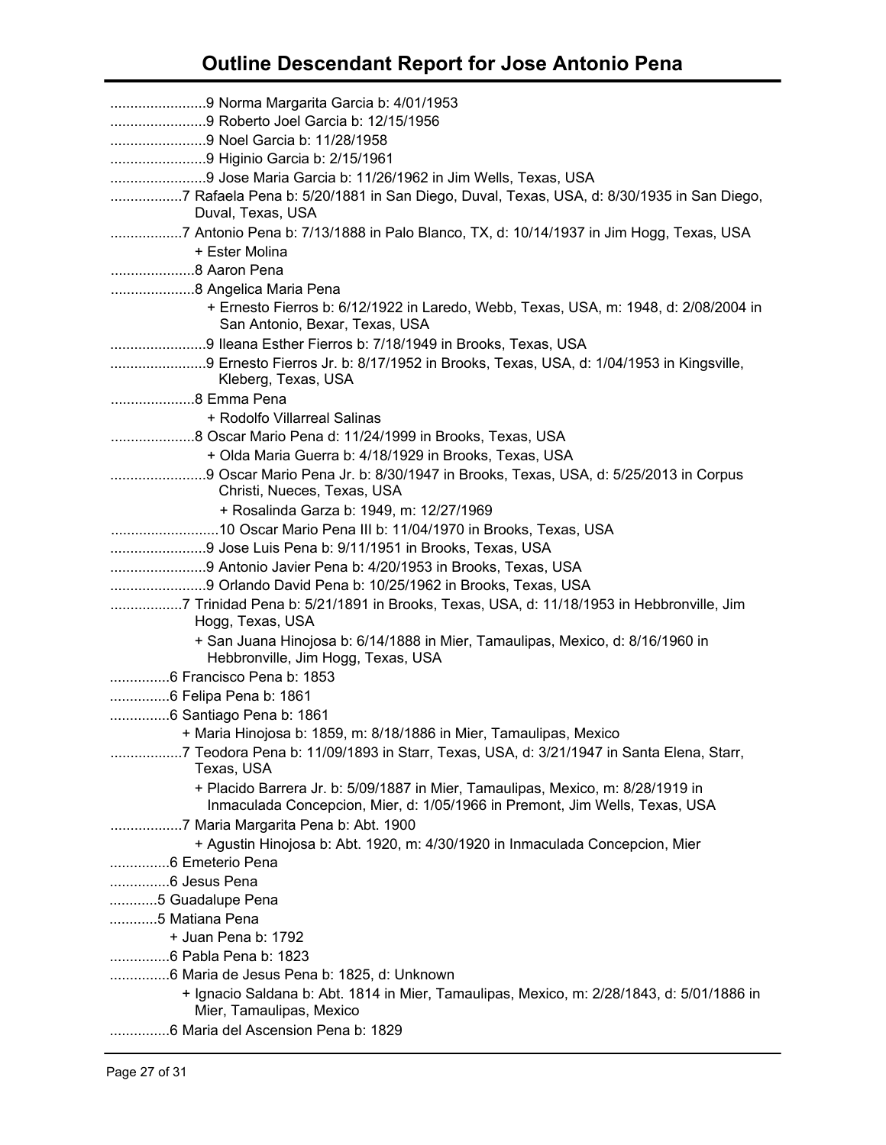| 7 Rafaela Pena b: 5/20/1881 in San Diego, Duval, Texas, USA, d: 8/30/1935 in San Diego,<br>Duval, Texas, USA                                                   |
|----------------------------------------------------------------------------------------------------------------------------------------------------------------|
| 7 Antonio Pena b: 7/13/1888 in Palo Blanco, TX, d: 10/14/1937 in Jim Hogg, Texas, USA<br>+ Ester Molina                                                        |
| 8 Aaron Pena                                                                                                                                                   |
|                                                                                                                                                                |
| + Ernesto Fierros b: 6/12/1922 in Laredo, Webb, Texas, USA, m: 1948, d: 2/08/2004 in                                                                           |
| San Antonio, Bexar, Texas, USA                                                                                                                                 |
| 9 Ileana Esther Fierros b: 7/18/1949 in Brooks, Texas, USA                                                                                                     |
| Kleberg, Texas, USA                                                                                                                                            |
| 8 Emma Pena                                                                                                                                                    |
| + Rodolfo Villarreal Salinas                                                                                                                                   |
|                                                                                                                                                                |
| + Olda Maria Guerra b: 4/18/1929 in Brooks, Texas, USA                                                                                                         |
|                                                                                                                                                                |
| Christi, Nueces, Texas, USA                                                                                                                                    |
| + Rosalinda Garza b: 1949, m: 12/27/1969                                                                                                                       |
|                                                                                                                                                                |
|                                                                                                                                                                |
|                                                                                                                                                                |
|                                                                                                                                                                |
| 7 Trinidad Pena b: 5/21/1891 in Brooks, Texas, USA, d: 11/18/1953 in Hebbronville, Jim                                                                         |
| Hogg, Texas, USA                                                                                                                                               |
| + San Juana Hinojosa b: 6/14/1888 in Mier, Tamaulipas, Mexico, d: 8/16/1960 in<br>Hebbronville, Jim Hogg, Texas, USA                                           |
|                                                                                                                                                                |
| 6 Francisco Pena b: 1853                                                                                                                                       |
| 6 Felipa Pena b: 1861                                                                                                                                          |
|                                                                                                                                                                |
| + Maria Hinojosa b: 1859, m: 8/18/1886 in Mier, Tamaulipas, Mexico                                                                                             |
| 7 Teodora Pena b: 11/09/1893 in Starr, Texas, USA, d: 3/21/1947 in Santa Elena, Starr,<br>Texas, USA                                                           |
| + Placido Barrera Jr. b: 5/09/1887 in Mier, Tamaulipas, Mexico, m: 8/28/1919 in<br>Inmaculada Concepcion, Mier, d: 1/05/1966 in Premont, Jim Wells, Texas, USA |
| 7 Maria Margarita Pena b: Abt. 1900                                                                                                                            |
| + Agustin Hinojosa b: Abt. 1920, m: 4/30/1920 in Inmaculada Concepcion, Mier                                                                                   |
| 6 Emeterio Pena                                                                                                                                                |
|                                                                                                                                                                |
| 5 Guadalupe Pena                                                                                                                                               |
| 5 Matiana Pena                                                                                                                                                 |
| + Juan Pena b: 1792                                                                                                                                            |
| 6 Pabla Pena b: 1823                                                                                                                                           |
| 6 Maria de Jesus Pena b: 1825, d: Unknown                                                                                                                      |
| + Ignacio Saldana b: Abt. 1814 in Mier, Tamaulipas, Mexico, m: 2/28/1843, d: 5/01/1886 in<br>Mier, Tamaulipas, Mexico                                          |
| 6 Maria del Ascension Pena b: 1829                                                                                                                             |
|                                                                                                                                                                |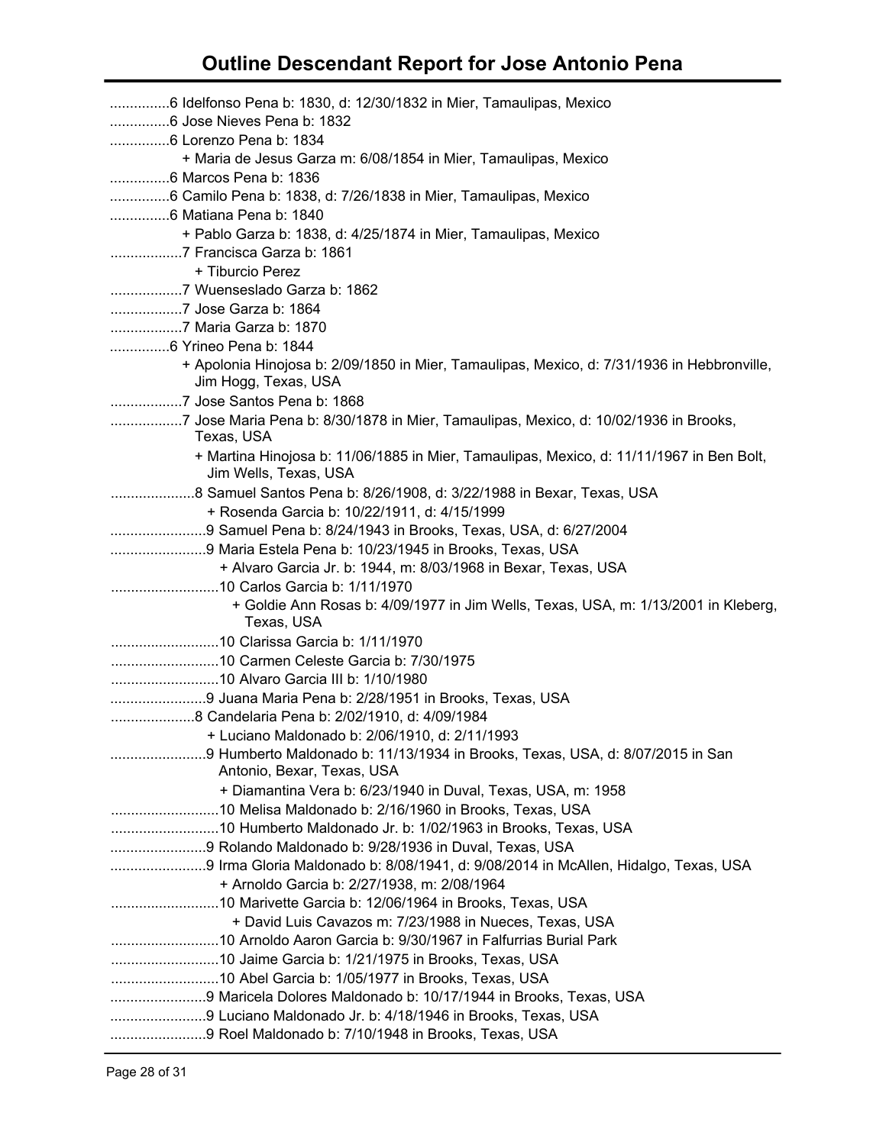| 6 Idelfonso Pena b: 1830, d: 12/30/1832 in Mier, Tamaulipas, Mexico                                                 |
|---------------------------------------------------------------------------------------------------------------------|
|                                                                                                                     |
|                                                                                                                     |
| + Maria de Jesus Garza m: 6/08/1854 in Mier, Tamaulipas, Mexico                                                     |
| 6 Marcos Pena b: 1836                                                                                               |
| 6 Camilo Pena b: 1838, d: 7/26/1838 in Mier, Tamaulipas, Mexico                                                     |
|                                                                                                                     |
| + Pablo Garza b: 1838, d: 4/25/1874 in Mier, Tamaulipas, Mexico                                                     |
| 7 Francisca Garza b: 1861                                                                                           |
| + Tiburcio Perez                                                                                                    |
|                                                                                                                     |
|                                                                                                                     |
|                                                                                                                     |
|                                                                                                                     |
| + Apolonia Hinojosa b: 2/09/1850 in Mier, Tamaulipas, Mexico, d: 7/31/1936 in Hebbronville,<br>Jim Hogg, Texas, USA |
| 7 Jose Santos Pena b: 1868                                                                                          |
| 7 Jose Maria Pena b: 8/30/1878 in Mier, Tamaulipas, Mexico, d: 10/02/1936 in Brooks,<br>Texas, USA                  |
| + Martina Hinojosa b: 11/06/1885 in Mier, Tamaulipas, Mexico, d: 11/11/1967 in Ben Bolt,<br>Jim Wells, Texas, USA   |
| 8 Samuel Santos Pena b: 8/26/1908, d: 3/22/1988 in Bexar, Texas, USA                                                |
| + Rosenda Garcia b: 10/22/1911, d: 4/15/1999                                                                        |
| 9 Samuel Pena b: 8/24/1943 in Brooks, Texas, USA, d: 6/27/2004                                                      |
|                                                                                                                     |
| + Alvaro Garcia Jr. b: 1944, m: 8/03/1968 in Bexar, Texas, USA                                                      |
|                                                                                                                     |
| + Goldie Ann Rosas b: 4/09/1977 in Jim Wells, Texas, USA, m: 1/13/2001 in Kleberg,<br>Texas, USA                    |
|                                                                                                                     |
|                                                                                                                     |
|                                                                                                                     |
|                                                                                                                     |
|                                                                                                                     |
| + Luciano Maldonado b: 2/06/1910, d: 2/11/1993                                                                      |
|                                                                                                                     |
| Antonio, Bexar, Texas, USA                                                                                          |
| + Diamantina Vera b: 6/23/1940 in Duval, Texas, USA, m: 1958                                                        |
|                                                                                                                     |
|                                                                                                                     |
|                                                                                                                     |
| 9 Irma Gloria Maldonado b: 8/08/1941, d: 9/08/2014 in McAllen, Hidalgo, Texas, USA                                  |
| + Arnoldo Garcia b: 2/27/1938, m: 2/08/1964                                                                         |
| 10 Marivette Garcia b: 12/06/1964 in Brooks, Texas, USA                                                             |
| + David Luis Cavazos m: 7/23/1988 in Nueces, Texas, USA                                                             |
|                                                                                                                     |
|                                                                                                                     |
|                                                                                                                     |
|                                                                                                                     |
| 9 Luciano Maldonado Jr. b: 4/18/1946 in Brooks, Texas, USA                                                          |
|                                                                                                                     |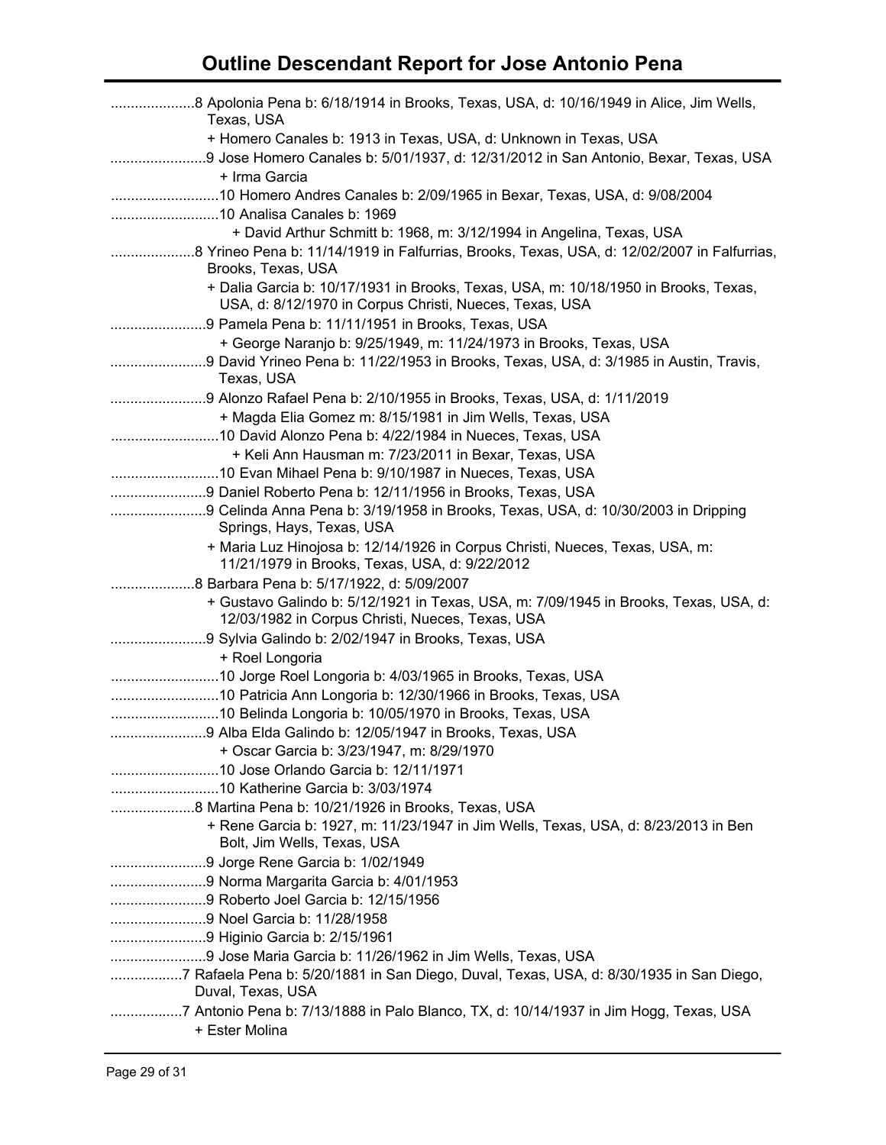| Texas, USA                                                                                                   |
|--------------------------------------------------------------------------------------------------------------|
| + Homero Canales b: 1913 in Texas, USA, d: Unknown in Texas, USA                                             |
|                                                                                                              |
| + Irma Garcia                                                                                                |
| 10 Homero Andres Canales b: 2/09/1965 in Bexar, Texas, USA, d: 9/08/2004                                     |
|                                                                                                              |
| + David Arthur Schmitt b: 1968, m: 3/12/1994 in Angelina, Texas, USA                                         |
|                                                                                                              |
| Brooks, Texas, USA                                                                                           |
| + Dalia Garcia b: 10/17/1931 in Brooks, Texas, USA, m: 10/18/1950 in Brooks, Texas,                          |
| USA, d: 8/12/1970 in Corpus Christi, Nueces, Texas, USA                                                      |
|                                                                                                              |
| + George Naranjo b: 9/25/1949, m: 11/24/1973 in Brooks, Texas, USA                                           |
|                                                                                                              |
| Texas, USA                                                                                                   |
|                                                                                                              |
| + Magda Elia Gomez m: 8/15/1981 in Jim Wells, Texas, USA                                                     |
|                                                                                                              |
| + Keli Ann Hausman m: 7/23/2011 in Bexar, Texas, USA                                                         |
|                                                                                                              |
|                                                                                                              |
| 9 Celinda Anna Pena b: 3/19/1958 in Brooks, Texas, USA, d: 10/30/2003 in Dripping                            |
| Springs, Hays, Texas, USA                                                                                    |
| + Maria Luz Hinojosa b: 12/14/1926 in Corpus Christi, Nueces, Texas, USA, m:                                 |
| 11/21/1979 in Brooks, Texas, USA, d: 9/22/2012                                                               |
|                                                                                                              |
| + Gustavo Galindo b: 5/12/1921 in Texas, USA, m: 7/09/1945 in Brooks, Texas, USA, d:                         |
| 12/03/1982 in Corpus Christi, Nueces, Texas, USA                                                             |
|                                                                                                              |
| + Roel Longoria                                                                                              |
|                                                                                                              |
|                                                                                                              |
| 10 Belinda Longoria b: 10/05/1970 in Brooks, Texas, USA                                                      |
| 9 Alba Elda Galindo b: 12/05/1947 in Brooks, Texas, USA                                                      |
| + Oscar Garcia b: 3/23/1947, m: 8/29/1970                                                                    |
|                                                                                                              |
|                                                                                                              |
|                                                                                                              |
| + Rene Garcia b: 1927, m: 11/23/1947 in Jim Wells, Texas, USA, d: 8/23/2013 in Ben                           |
| Bolt, Jim Wells, Texas, USA                                                                                  |
| 9 Jorge Rene Garcia b: 1/02/1949                                                                             |
|                                                                                                              |
|                                                                                                              |
|                                                                                                              |
|                                                                                                              |
|                                                                                                              |
| 7 Rafaela Pena b: 5/20/1881 in San Diego, Duval, Texas, USA, d: 8/30/1935 in San Diego,<br>Duval, Texas, USA |
| 7 Antonio Pena b: 7/13/1888 in Palo Blanco, TX, d: 10/14/1937 in Jim Hogg, Texas, USA                        |
| + Ester Molina                                                                                               |
|                                                                                                              |